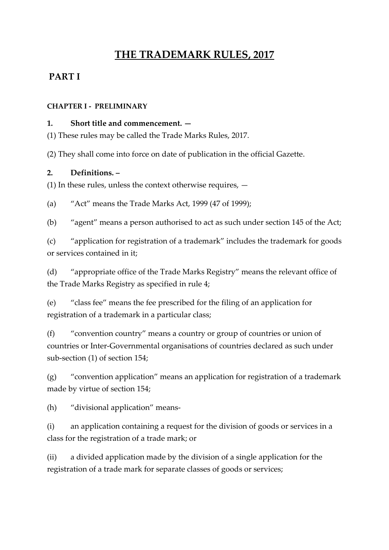# **THE TRADEMARK RULES, 2017**

# **PART I**

#### **CHAPTER I - PRELIMINARY**

#### **1. Short title and commencement. —**

(1) These rules may be called the Trade Marks Rules, 2017.

(2) They shall come into force on date of publication in the official Gazette.

#### **2. Definitions. –**

(1) In these rules, unless the context otherwise requires, —

(a) "Act" means the Trade Marks Act, 1999 (47 of 1999);

(b) "agent" means a person authorised to act as such under section 145 of the Act;

(c) "application for registration of a trademark" includes the trademark for goods or services contained in it;

(d) "appropriate office of the Trade Marks Registry" means the relevant office of the Trade Marks Registry as specified in rule 4;

(e) "class fee" means the fee prescribed for the filing of an application for registration of a trademark in a particular class;

(f) "convention country" means a country or group of countries or union of countries or Inter-Governmental organisations of countries declared as such under sub-section (1) of section 154;

(g) "convention application" means an application for registration of a trademark made by virtue of section 154;

(h) "divisional application" means-

(i) an application containing a request for the division of goods or services in a class for the registration of a trade mark; or

(ii) a divided application made by the division of a single application for the registration of a trade mark for separate classes of goods or services;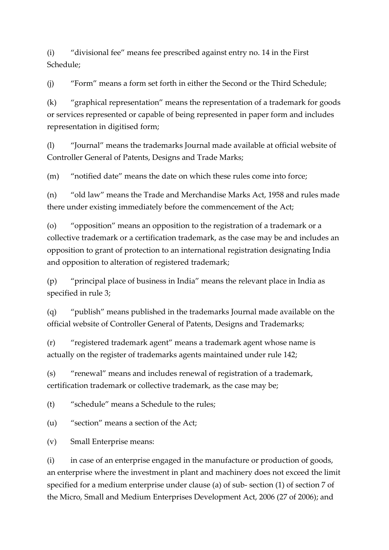(i) "divisional fee" means fee prescribed against entry no. 14 in the First Schedule;

(j) "Form" means a form set forth in either the Second or the Third Schedule;

(k) "graphical representation" means the representation of a trademark for goods or services represented or capable of being represented in paper form and includes representation in digitised form;

(l) "Journal" means the trademarks Journal made available at official website of Controller General of Patents, Designs and Trade Marks;

(m) "notified date" means the date on which these rules come into force;

(n) "old law" means the Trade and Merchandise Marks Act, 1958 and rules made there under existing immediately before the commencement of the Act;

(o) "opposition" means an opposition to the registration of a trademark or a collective trademark or a certification trademark, as the case may be and includes an opposition to grant of protection to an international registration designating India and opposition to alteration of registered trademark;

(p) "principal place of business in India" means the relevant place in India as specified in rule 3;

(q) "publish" means published in the trademarks Journal made available on the official website of Controller General of Patents, Designs and Trademarks;

(r) "registered trademark agent" means a trademark agent whose name is actually on the register of trademarks agents maintained under rule 142;

(s) "renewal" means and includes renewal of registration of a trademark, certification trademark or collective trademark, as the case may be;

(t) "schedule" means a Schedule to the rules;

(u) "section" means a section of the Act;

(v) Small Enterprise means:

(i) in case of an enterprise engaged in the manufacture or production of goods, an enterprise where the investment in plant and machinery does not exceed the limit specified for a medium enterprise under clause (a) of sub- section (1) of section 7 of the Micro, Small and Medium Enterprises Development Act, 2006 (27 of 2006); and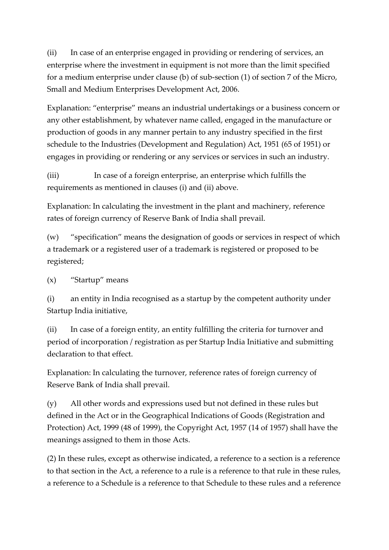(ii) In case of an enterprise engaged in providing or rendering of services, an enterprise where the investment in equipment is not more than the limit specified for a medium enterprise under clause (b) of sub-section (1) of section 7 of the Micro, Small and Medium Enterprises Development Act, 2006.

Explanation: "enterprise" means an industrial undertakings or a business concern or any other establishment, by whatever name called, engaged in the manufacture or production of goods in any manner pertain to any industry specified in the first schedule to the Industries (Development and Regulation) Act, 1951 (65 of 1951) or engages in providing or rendering or any services or services in such an industry.

(iii) In case of a foreign enterprise, an enterprise which fulfills the requirements as mentioned in clauses (i) and (ii) above.

Explanation: In calculating the investment in the plant and machinery, reference rates of foreign currency of Reserve Bank of India shall prevail.

(w) "specification" means the designation of goods or services in respect of which a trademark or a registered user of a trademark is registered or proposed to be registered;

(x) "Startup" means

(i) an entity in India recognised as a startup by the competent authority under Startup India initiative,

(ii) In case of a foreign entity, an entity fulfilling the criteria for turnover and period of incorporation / registration as per Startup India Initiative and submitting declaration to that effect.

Explanation: In calculating the turnover, reference rates of foreign currency of Reserve Bank of India shall prevail.

(y) All other words and expressions used but not defined in these rules but defined in the Act or in the Geographical Indications of Goods (Registration and Protection) Act, 1999 (48 of 1999), the Copyright Act, 1957 (14 of 1957) shall have the meanings assigned to them in those Acts.

(2) In these rules, except as otherwise indicated, a reference to a section is a reference to that section in the Act, a reference to a rule is a reference to that rule in these rules, a reference to a Schedule is a reference to that Schedule to these rules and a reference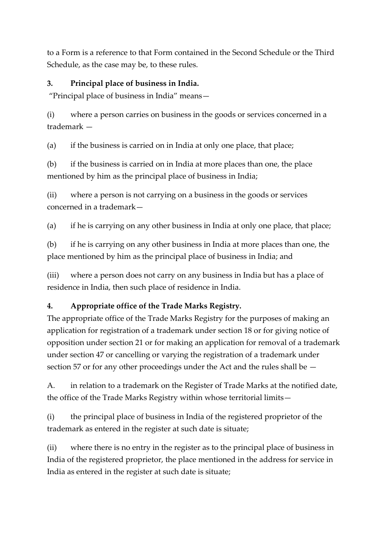to a Form is a reference to that Form contained in the Second Schedule or the Third Schedule, as the case may be, to these rules.

### **3. Principal place of business in India.**

"Principal place of business in India" means—

(i) where a person carries on business in the goods or services concerned in a trademark —

(a) if the business is carried on in India at only one place, that place;

(b) if the business is carried on in India at more places than one, the place mentioned by him as the principal place of business in India;

(ii) where a person is not carrying on a business in the goods or services concerned in a trademark—

(a) if he is carrying on any other business in India at only one place, that place;

(b) if he is carrying on any other business in India at more places than one, the place mentioned by him as the principal place of business in India; and

(iii) where a person does not carry on any business in India but has a place of residence in India, then such place of residence in India.

# **4. Appropriate office of the Trade Marks Registry.**

The appropriate office of the Trade Marks Registry for the purposes of making an application for registration of a trademark under section 18 or for giving notice of opposition under section 21 or for making an application for removal of a trademark under section 47 or cancelling or varying the registration of a trademark under section 57 or for any other proceedings under the Act and the rules shall be —

A. in relation to a trademark on the Register of Trade Marks at the notified date, the office of the Trade Marks Registry within whose territorial limits—

(i) the principal place of business in India of the registered proprietor of the trademark as entered in the register at such date is situate;

(ii) where there is no entry in the register as to the principal place of business in India of the registered proprietor, the place mentioned in the address for service in India as entered in the register at such date is situate;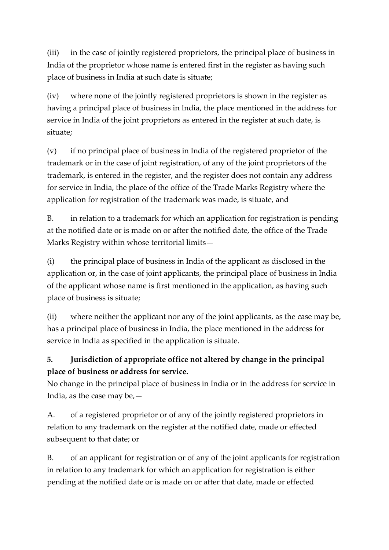(iii) in the case of jointly registered proprietors, the principal place of business in India of the proprietor whose name is entered first in the register as having such place of business in India at such date is situate;

(iv) where none of the jointly registered proprietors is shown in the register as having a principal place of business in India, the place mentioned in the address for service in India of the joint proprietors as entered in the register at such date, is situate;

(v) if no principal place of business in India of the registered proprietor of the trademark or in the case of joint registration, of any of the joint proprietors of the trademark, is entered in the register, and the register does not contain any address for service in India, the place of the office of the Trade Marks Registry where the application for registration of the trademark was made, is situate, and

B. in relation to a trademark for which an application for registration is pending at the notified date or is made on or after the notified date, the office of the Trade Marks Registry within whose territorial limits—

(i) the principal place of business in India of the applicant as disclosed in the application or, in the case of joint applicants, the principal place of business in India of the applicant whose name is first mentioned in the application, as having such place of business is situate;

(ii) where neither the applicant nor any of the joint applicants, as the case may be, has a principal place of business in India, the place mentioned in the address for service in India as specified in the application is situate.

# **5. Jurisdiction of appropriate office not altered by change in the principal place of business or address for service.**

No change in the principal place of business in India or in the address for service in India, as the case may be,—

A. of a registered proprietor or of any of the jointly registered proprietors in relation to any trademark on the register at the notified date, made or effected subsequent to that date; or

B. of an applicant for registration or of any of the joint applicants for registration in relation to any trademark for which an application for registration is either pending at the notified date or is made on or after that date, made or effected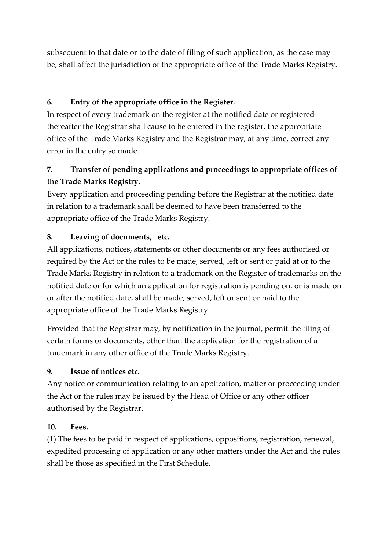subsequent to that date or to the date of filing of such application, as the case may be, shall affect the jurisdiction of the appropriate office of the Trade Marks Registry.

# **6. Entry of the appropriate office in the Register.**

In respect of every trademark on the register at the notified date or registered thereafter the Registrar shall cause to be entered in the register, the appropriate office of the Trade Marks Registry and the Registrar may, at any time, correct any error in the entry so made.

# **7. Transfer of pending applications and proceedings to appropriate offices of the Trade Marks Registry.**

Every application and proceeding pending before the Registrar at the notified date in relation to a trademark shall be deemed to have been transferred to the appropriate office of the Trade Marks Registry.

#### **8. Leaving of documents, etc.**

All applications, notices, statements or other documents or any fees authorised or required by the Act or the rules to be made, served, left or sent or paid at or to the Trade Marks Registry in relation to a trademark on the Register of trademarks on the notified date or for which an application for registration is pending on, or is made on or after the notified date, shall be made, served, left or sent or paid to the appropriate office of the Trade Marks Registry:

Provided that the Registrar may, by notification in the journal, permit the filing of certain forms or documents, other than the application for the registration of a trademark in any other office of the Trade Marks Registry.

#### **9. Issue of notices etc.**

Any notice or communication relating to an application, matter or proceeding under the Act or the rules may be issued by the Head of Office or any other officer authorised by the Registrar.

#### **10. Fees.**

(1) The fees to be paid in respect of applications, oppositions, registration, renewal, expedited processing of application or any other matters under the Act and the rules shall be those as specified in the First Schedule.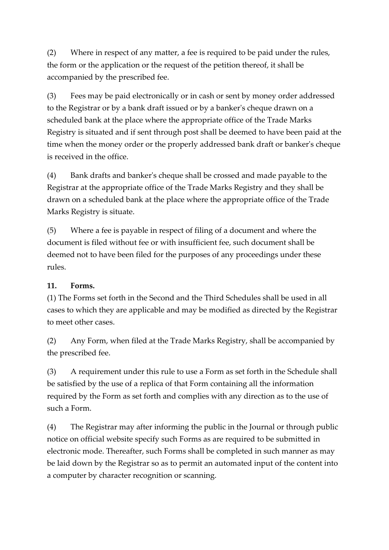(2) Where in respect of any matter, a fee is required to be paid under the rules, the form or the application or the request of the petition thereof, it shall be accompanied by the prescribed fee.

(3) Fees may be paid electronically or in cash or sent by money order addressed to the Registrar or by a bank draft issued or by a banker's cheque drawn on a scheduled bank at the place where the appropriate office of the Trade Marks Registry is situated and if sent through post shall be deemed to have been paid at the time when the money order or the properly addressed bank draft or banker's cheque is received in the office.

(4) Bank drafts and banker's cheque shall be crossed and made payable to the Registrar at the appropriate office of the Trade Marks Registry and they shall be drawn on a scheduled bank at the place where the appropriate office of the Trade Marks Registry is situate.

(5) Where a fee is payable in respect of filing of a document and where the document is filed without fee or with insufficient fee, such document shall be deemed not to have been filed for the purposes of any proceedings under these rules.

#### **11. Forms.**

(1) The Forms set forth in the Second and the Third Schedules shall be used in all cases to which they are applicable and may be modified as directed by the Registrar to meet other cases.

(2) Any Form, when filed at the Trade Marks Registry, shall be accompanied by the prescribed fee.

(3) A requirement under this rule to use a Form as set forth in the Schedule shall be satisfied by the use of a replica of that Form containing all the information required by the Form as set forth and complies with any direction as to the use of such a Form.

(4) The Registrar may after informing the public in the Journal or through public notice on official website specify such Forms as are required to be submitted in electronic mode. Thereafter, such Forms shall be completed in such manner as may be laid down by the Registrar so as to permit an automated input of the content into a computer by character recognition or scanning.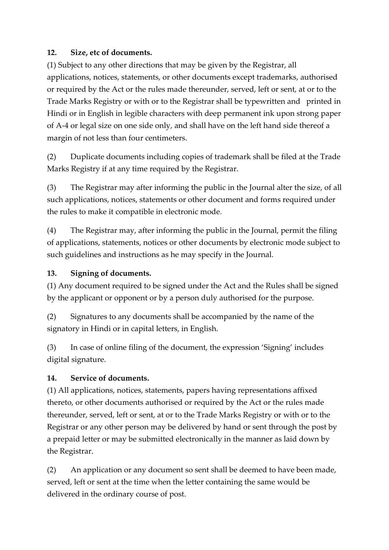#### **12. Size, etc of documents.**

(1) Subject to any other directions that may be given by the Registrar, all applications, notices, statements, or other documents except trademarks, authorised or required by the Act or the rules made thereunder, served, left or sent, at or to the Trade Marks Registry or with or to the Registrar shall be typewritten and printed in Hindi or in English in legible characters with deep permanent ink upon strong paper of A-4 or legal size on one side only, and shall have on the left hand side thereof a margin of not less than four centimeters.

(2) Duplicate documents including copies of trademark shall be filed at the Trade Marks Registry if at any time required by the Registrar.

(3) The Registrar may after informing the public in the Journal alter the size, of all such applications, notices, statements or other document and forms required under the rules to make it compatible in electronic mode.

(4) The Registrar may, after informing the public in the Journal, permit the filing of applications, statements, notices or other documents by electronic mode subject to such guidelines and instructions as he may specify in the Journal.

### **13. Signing of documents.**

(1) Any document required to be signed under the Act and the Rules shall be signed by the applicant or opponent or by a person duly authorised for the purpose.

(2) Signatures to any documents shall be accompanied by the name of the signatory in Hindi or in capital letters, in English.

(3) In case of online filing of the document, the expression 'Signing' includes digital signature.

#### **14. Service of documents.**

(1) All applications, notices, statements, papers having representations affixed thereto, or other documents authorised or required by the Act or the rules made thereunder, served, left or sent, at or to the Trade Marks Registry or with or to the Registrar or any other person may be delivered by hand or sent through the post by a prepaid letter or may be submitted electronically in the manner as laid down by the Registrar.

(2) An application or any document so sent shall be deemed to have been made, served, left or sent at the time when the letter containing the same would be delivered in the ordinary course of post.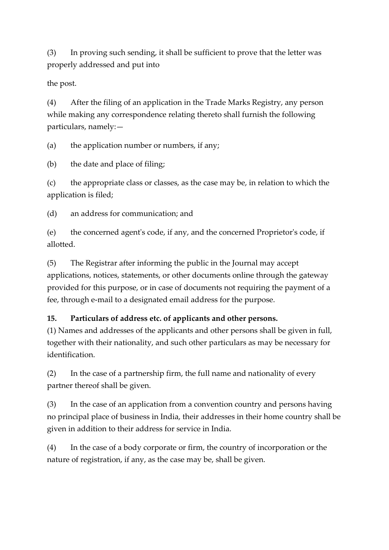(3) In proving such sending, it shall be sufficient to prove that the letter was properly addressed and put into

the post.

(4) After the filing of an application in the Trade Marks Registry, any person while making any correspondence relating thereto shall furnish the following particulars, namely:—

(a) the application number or numbers, if any;

(b) the date and place of filing;

(c) the appropriate class or classes, as the case may be, in relation to which the application is filed;

(d) an address for communication; and

(e) the concerned agent's code, if any, and the concerned Proprietor's code, if allotted.

(5) The Registrar after informing the public in the Journal may accept applications, notices, statements, or other documents online through the gateway provided for this purpose, or in case of documents not requiring the payment of a fee, through e-mail to a designated email address for the purpose.

#### **15. Particulars of address etc. of applicants and other persons.**

(1) Names and addresses of the applicants and other persons shall be given in full, together with their nationality, and such other particulars as may be necessary for identification.

(2) In the case of a partnership firm, the full name and nationality of every partner thereof shall be given.

(3) In the case of an application from a convention country and persons having no principal place of business in India, their addresses in their home country shall be given in addition to their address for service in India.

(4) In the case of a body corporate or firm, the country of incorporation or the nature of registration, if any, as the case may be, shall be given.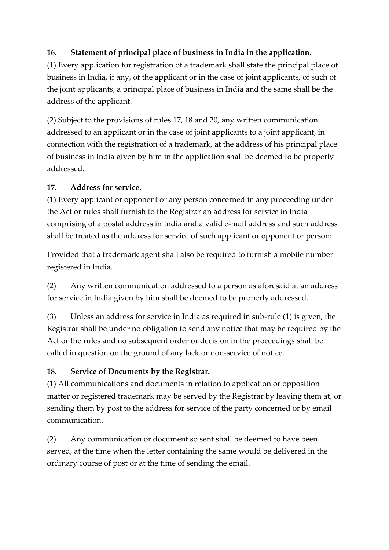# **16. Statement of principal place of business in India in the application.**

(1) Every application for registration of a trademark shall state the principal place of business in India, if any, of the applicant or in the case of joint applicants, of such of the joint applicants, a principal place of business in India and the same shall be the address of the applicant.

(2) Subject to the provisions of rules 17, 18 and 20, any written communication addressed to an applicant or in the case of joint applicants to a joint applicant, in connection with the registration of a trademark, at the address of his principal place of business in India given by him in the application shall be deemed to be properly addressed.

#### **17. Address for service.**

(1) Every applicant or opponent or any person concerned in any proceeding under the Act or rules shall furnish to the Registrar an address for service in India comprising of a postal address in India and a valid e-mail address and such address shall be treated as the address for service of such applicant or opponent or person:

Provided that a trademark agent shall also be required to furnish a mobile number registered in India.

(2) Any written communication addressed to a person as aforesaid at an address for service in India given by him shall be deemed to be properly addressed.

(3) Unless an address for service in India as required in sub-rule (1) is given, the Registrar shall be under no obligation to send any notice that may be required by the Act or the rules and no subsequent order or decision in the proceedings shall be called in question on the ground of any lack or non-service of notice.

# **18. Service of Documents by the Registrar.**

(1) All communications and documents in relation to application or opposition matter or registered trademark may be served by the Registrar by leaving them at, or sending them by post to the address for service of the party concerned or by email communication.

(2) Any communication or document so sent shall be deemed to have been served, at the time when the letter containing the same would be delivered in the ordinary course of post or at the time of sending the email.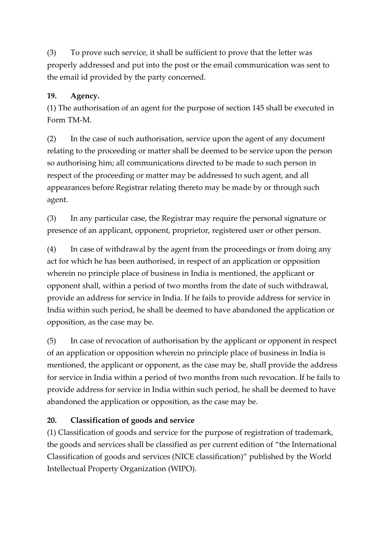(3) To prove such service, it shall be sufficient to prove that the letter was properly addressed and put into the post or the email communication was sent to the email id provided by the party concerned.

### **19. Agency.**

(1) The authorisation of an agent for the purpose of section 145 shall be executed in Form TM-M.

(2) In the case of such authorisation, service upon the agent of any document relating to the proceeding or matter shall be deemed to be service upon the person so authorising him; all communications directed to be made to such person in respect of the proceeding or matter may be addressed to such agent, and all appearances before Registrar relating thereto may be made by or through such agent.

(3) In any particular case, the Registrar may require the personal signature or presence of an applicant, opponent, proprietor, registered user or other person.

(4) In case of withdrawal by the agent from the proceedings or from doing any act for which he has been authorised, in respect of an application or opposition wherein no principle place of business in India is mentioned, the applicant or opponent shall, within a period of two months from the date of such withdrawal, provide an address for service in India. If he fails to provide address for service in India within such period, he shall be deemed to have abandoned the application or opposition, as the case may be.

(5) In case of revocation of authorisation by the applicant or opponent in respect of an application or opposition wherein no principle place of business in India is mentioned, the applicant or opponent, as the case may be, shall provide the address for service in India within a period of two months from such revocation. If he fails to provide address for service in India within such period, he shall be deemed to have abandoned the application or opposition, as the case may be.

# **20. Classification of goods and service**

(1) Classification of goods and service for the purpose of registration of trademark, the goods and services shall be classified as per current edition of "the International Classification of goods and services (NICE classification)" published by the World Intellectual Property Organization (WIPO).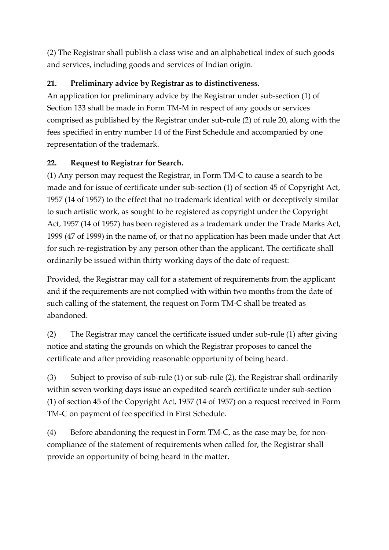(2) The Registrar shall publish a class wise and an alphabetical index of such goods and services, including goods and services of Indian origin.

# **21. Preliminary advice by Registrar as to distinctiveness.**

An application for preliminary advice by the Registrar under sub-section (1) of Section 133 shall be made in Form TM-M in respect of any goods or services comprised as published by the Registrar under sub-rule (2) of rule 20, along with the fees specified in entry number 14 of the First Schedule and accompanied by one representation of the trademark.

# **22. Request to Registrar for Search.**

(1) Any person may request the Registrar, in Form TM-C to cause a search to be made and for issue of certificate under sub-section (1) of section 45 of Copyright Act, 1957 (14 of 1957) to the effect that no trademark identical with or deceptively similar to such artistic work, as sought to be registered as copyright under the Copyright Act, 1957 (14 of 1957) has been registered as a trademark under the Trade Marks Act, 1999 (47 of 1999) in the name of, or that no application has been made under that Act for such re-registration by any person other than the applicant. The certificate shall ordinarily be issued within thirty working days of the date of request:

Provided, the Registrar may call for a statement of requirements from the applicant and if the requirements are not complied with within two months from the date of such calling of the statement, the request on Form TM-C shall be treated as abandoned.

(2) The Registrar may cancel the certificate issued under sub-rule (1) after giving notice and stating the grounds on which the Registrar proposes to cancel the certificate and after providing reasonable opportunity of being heard.

(3) Subject to proviso of sub-rule (1) or sub-rule (2), the Registrar shall ordinarily within seven working days issue an expedited search certificate under sub-section (1) of section 45 of the Copyright Act, 1957 (14 of 1957) on a request received in Form TM-C on payment of fee specified in First Schedule.

(4) Before abandoning the request in Form TM-C, as the case may be, for noncompliance of the statement of requirements when called for, the Registrar shall provide an opportunity of being heard in the matter.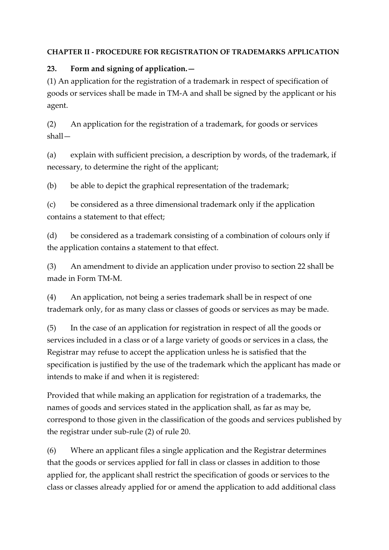#### **CHAPTER II - PROCEDURE FOR REGISTRATION OF TRADEMARKS APPLICATION**

### **23. Form and signing of application.—**

(1) An application for the registration of a trademark in respect of specification of goods or services shall be made in TM-A and shall be signed by the applicant or his agent.

(2) An application for the registration of a trademark, for goods or services shall—

(a) explain with sufficient precision, a description by words, of the trademark, if necessary, to determine the right of the applicant;

(b) be able to depict the graphical representation of the trademark;

(c) be considered as a three dimensional trademark only if the application contains a statement to that effect;

(d) be considered as a trademark consisting of a combination of colours only if the application contains a statement to that effect.

(3) An amendment to divide an application under proviso to section 22 shall be made in Form TM-M.

(4) An application, not being a series trademark shall be in respect of one trademark only, for as many class or classes of goods or services as may be made.

(5) In the case of an application for registration in respect of all the goods or services included in a class or of a large variety of goods or services in a class, the Registrar may refuse to accept the application unless he is satisfied that the specification is justified by the use of the trademark which the applicant has made or intends to make if and when it is registered:

Provided that while making an application for registration of a trademarks, the names of goods and services stated in the application shall, as far as may be, correspond to those given in the classification of the goods and services published by the registrar under sub-rule (2) of rule 20.

(6) Where an applicant files a single application and the Registrar determines that the goods or services applied for fall in class or classes in addition to those applied for, the applicant shall restrict the specification of goods or services to the class or classes already applied for or amend the application to add additional class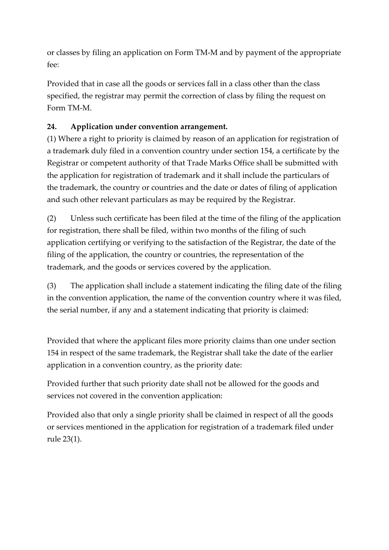or classes by filing an application on Form TM-M and by payment of the appropriate fee:

Provided that in case all the goods or services fall in a class other than the class specified, the registrar may permit the correction of class by filing the request on Form TM-M.

# **24. Application under convention arrangement.**

(1) Where a right to priority is claimed by reason of an application for registration of a trademark duly filed in a convention country under section 154, a certificate by the Registrar or competent authority of that Trade Marks Office shall be submitted with the application for registration of trademark and it shall include the particulars of the trademark, the country or countries and the date or dates of filing of application and such other relevant particulars as may be required by the Registrar.

(2) Unless such certificate has been filed at the time of the filing of the application for registration, there shall be filed, within two months of the filing of such application certifying or verifying to the satisfaction of the Registrar, the date of the filing of the application, the country or countries, the representation of the trademark, and the goods or services covered by the application.

(3) The application shall include a statement indicating the filing date of the filing in the convention application, the name of the convention country where it was filed, the serial number, if any and a statement indicating that priority is claimed:

Provided that where the applicant files more priority claims than one under section 154 in respect of the same trademark, the Registrar shall take the date of the earlier application in a convention country, as the priority date:

Provided further that such priority date shall not be allowed for the goods and services not covered in the convention application:

Provided also that only a single priority shall be claimed in respect of all the goods or services mentioned in the application for registration of a trademark filed under rule 23(1).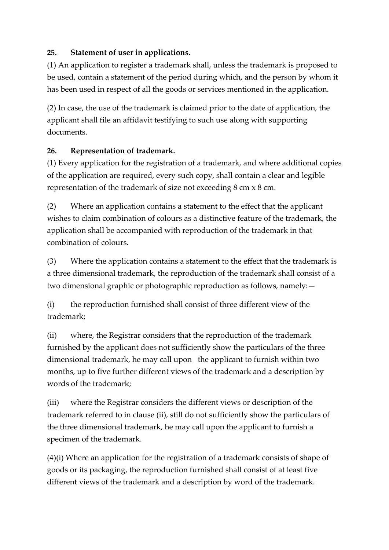### **25. Statement of user in applications.**

(1) An application to register a trademark shall, unless the trademark is proposed to be used, contain a statement of the period during which, and the person by whom it has been used in respect of all the goods or services mentioned in the application.

(2) In case, the use of the trademark is claimed prior to the date of application, the applicant shall file an affidavit testifying to such use along with supporting documents.

#### **26. Representation of trademark.**

(1) Every application for the registration of a trademark, and where additional copies of the application are required, every such copy, shall contain a clear and legible representation of the trademark of size not exceeding 8 cm x 8 cm.

(2) Where an application contains a statement to the effect that the applicant wishes to claim combination of colours as a distinctive feature of the trademark, the application shall be accompanied with reproduction of the trademark in that combination of colours.

(3) Where the application contains a statement to the effect that the trademark is a three dimensional trademark, the reproduction of the trademark shall consist of a two dimensional graphic or photographic reproduction as follows, namely:—

(i) the reproduction furnished shall consist of three different view of the trademark;

(ii) where, the Registrar considers that the reproduction of the trademark furnished by the applicant does not sufficiently show the particulars of the three dimensional trademark, he may call upon the applicant to furnish within two months, up to five further different views of the trademark and a description by words of the trademark;

(iii) where the Registrar considers the different views or description of the trademark referred to in clause (ii), still do not sufficiently show the particulars of the three dimensional trademark, he may call upon the applicant to furnish a specimen of the trademark.

(4)(i) Where an application for the registration of a trademark consists of shape of goods or its packaging, the reproduction furnished shall consist of at least five different views of the trademark and a description by word of the trademark.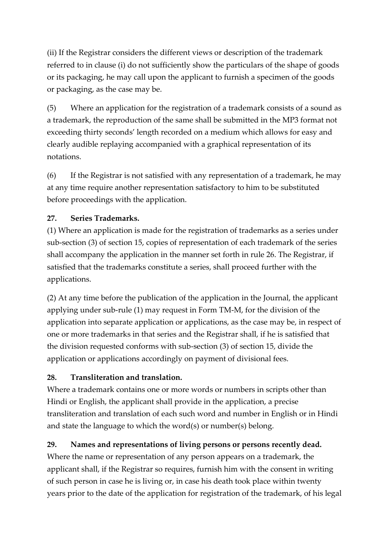(ii) If the Registrar considers the different views or description of the trademark referred to in clause (i) do not sufficiently show the particulars of the shape of goods or its packaging, he may call upon the applicant to furnish a specimen of the goods or packaging, as the case may be.

(5) Where an application for the registration of a trademark consists of a sound as a trademark, the reproduction of the same shall be submitted in the MP3 format not exceeding thirty seconds' length recorded on a medium which allows for easy and clearly audible replaying accompanied with a graphical representation of its notations.

(6) If the Registrar is not satisfied with any representation of a trademark, he may at any time require another representation satisfactory to him to be substituted before proceedings with the application.

### **27. Series Trademarks.**

(1) Where an application is made for the registration of trademarks as a series under sub-section (3) of section 15, copies of representation of each trademark of the series shall accompany the application in the manner set forth in rule 26. The Registrar, if satisfied that the trademarks constitute a series, shall proceed further with the applications.

(2) At any time before the publication of the application in the Journal, the applicant applying under sub-rule (1) may request in Form TM-M, for the division of the application into separate application or applications, as the case may be, in respect of one or more trademarks in that series and the Registrar shall, if he is satisfied that the division requested conforms with sub-section (3) of section 15, divide the application or applications accordingly on payment of divisional fees.

# **28. Transliteration and translation.**

Where a trademark contains one or more words or numbers in scripts other than Hindi or English, the applicant shall provide in the application, a precise transliteration and translation of each such word and number in English or in Hindi and state the language to which the word(s) or number(s) belong.

# **29. Names and representations of living persons or persons recently dead.**

Where the name or representation of any person appears on a trademark, the applicant shall, if the Registrar so requires, furnish him with the consent in writing of such person in case he is living or, in case his death took place within twenty years prior to the date of the application for registration of the trademark, of his legal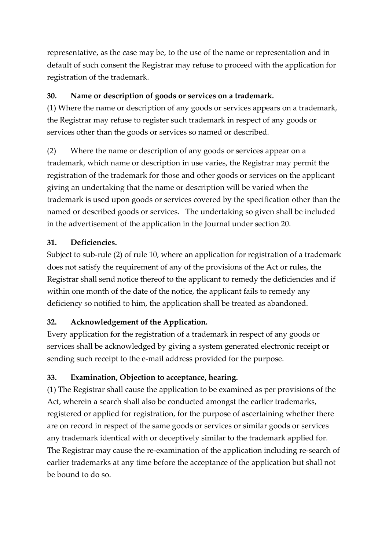representative, as the case may be, to the use of the name or representation and in default of such consent the Registrar may refuse to proceed with the application for registration of the trademark.

### **30. Name or description of goods or services on a trademark.**

(1) Where the name or description of any goods or services appears on a trademark, the Registrar may refuse to register such trademark in respect of any goods or services other than the goods or services so named or described.

(2) Where the name or description of any goods or services appear on a trademark, which name or description in use varies, the Registrar may permit the registration of the trademark for those and other goods or services on the applicant giving an undertaking that the name or description will be varied when the trademark is used upon goods or services covered by the specification other than the named or described goods or services. The undertaking so given shall be included in the advertisement of the application in the Journal under section 20.

### **31. Deficiencies.**

Subject to sub-rule (2) of rule 10, where an application for registration of a trademark does not satisfy the requirement of any of the provisions of the Act or rules, the Registrar shall send notice thereof to the applicant to remedy the deficiencies and if within one month of the date of the notice, the applicant fails to remedy any deficiency so notified to him, the application shall be treated as abandoned.

# **32. Acknowledgement of the Application.**

Every application for the registration of a trademark in respect of any goods or services shall be acknowledged by giving a system generated electronic receipt or sending such receipt to the e-mail address provided for the purpose.

# **33. Examination, Objection to acceptance, hearing.**

(1) The Registrar shall cause the application to be examined as per provisions of the Act, wherein a search shall also be conducted amongst the earlier trademarks, registered or applied for registration, for the purpose of ascertaining whether there are on record in respect of the same goods or services or similar goods or services any trademark identical with or deceptively similar to the trademark applied for. The Registrar may cause the re-examination of the application including re-search of earlier trademarks at any time before the acceptance of the application but shall not be bound to do so.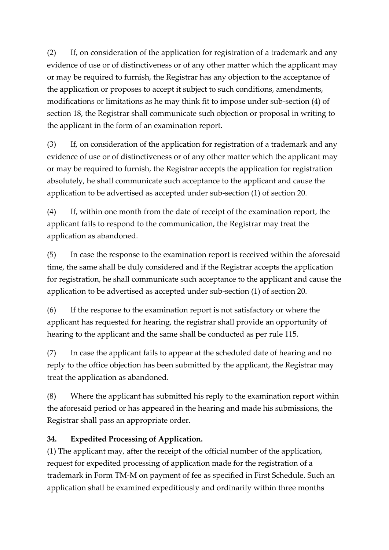(2) If, on consideration of the application for registration of a trademark and any evidence of use or of distinctiveness or of any other matter which the applicant may or may be required to furnish, the Registrar has any objection to the acceptance of the application or proposes to accept it subject to such conditions, amendments, modifications or limitations as he may think fit to impose under sub-section (4) of section 18, the Registrar shall communicate such objection or proposal in writing to the applicant in the form of an examination report.

(3) If, on consideration of the application for registration of a trademark and any evidence of use or of distinctiveness or of any other matter which the applicant may or may be required to furnish, the Registrar accepts the application for registration absolutely, he shall communicate such acceptance to the applicant and cause the application to be advertised as accepted under sub-section (1) of section 20.

(4) If, within one month from the date of receipt of the examination report, the applicant fails to respond to the communication, the Registrar may treat the application as abandoned.

(5) In case the response to the examination report is received within the aforesaid time, the same shall be duly considered and if the Registrar accepts the application for registration, he shall communicate such acceptance to the applicant and cause the application to be advertised as accepted under sub-section (1) of section 20.

(6) If the response to the examination report is not satisfactory or where the applicant has requested for hearing, the registrar shall provide an opportunity of hearing to the applicant and the same shall be conducted as per rule 115.

(7) In case the applicant fails to appear at the scheduled date of hearing and no reply to the office objection has been submitted by the applicant, the Registrar may treat the application as abandoned.

(8) Where the applicant has submitted his reply to the examination report within the aforesaid period or has appeared in the hearing and made his submissions, the Registrar shall pass an appropriate order.

# **34. Expedited Processing of Application.**

(1) The applicant may, after the receipt of the official number of the application, request for expedited processing of application made for the registration of a trademark in Form TM-M on payment of fee as specified in First Schedule. Such an application shall be examined expeditiously and ordinarily within three months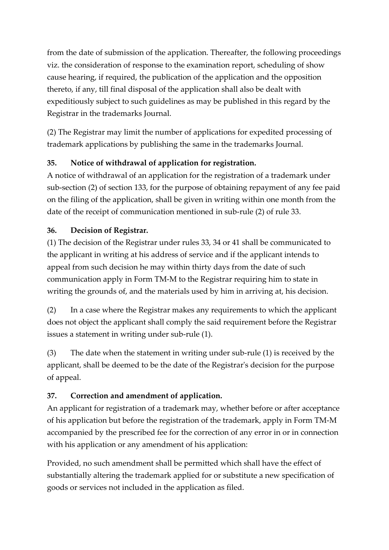from the date of submission of the application. Thereafter, the following proceedings viz. the consideration of response to the examination report, scheduling of show cause hearing, if required, the publication of the application and the opposition thereto, if any, till final disposal of the application shall also be dealt with expeditiously subject to such guidelines as may be published in this regard by the Registrar in the trademarks Journal.

(2) The Registrar may limit the number of applications for expedited processing of trademark applications by publishing the same in the trademarks Journal.

# **35. Notice of withdrawal of application for registration.**

A notice of withdrawal of an application for the registration of a trademark under sub-section (2) of section 133, for the purpose of obtaining repayment of any fee paid on the filing of the application, shall be given in writing within one month from the date of the receipt of communication mentioned in sub-rule (2) of rule 33.

# **36. Decision of Registrar.**

(1) The decision of the Registrar under rules 33, 34 or 41 shall be communicated to the applicant in writing at his address of service and if the applicant intends to appeal from such decision he may within thirty days from the date of such communication apply in Form TM-M to the Registrar requiring him to state in writing the grounds of, and the materials used by him in arriving at, his decision.

(2) In a case where the Registrar makes any requirements to which the applicant does not object the applicant shall comply the said requirement before the Registrar issues a statement in writing under sub-rule (1).

(3) The date when the statement in writing under sub-rule (1) is received by the applicant, shall be deemed to be the date of the Registrar's decision for the purpose of appeal.

# **37. Correction and amendment of application.**

An applicant for registration of a trademark may, whether before or after acceptance of his application but before the registration of the trademark, apply in Form TM-M accompanied by the prescribed fee for the correction of any error in or in connection with his application or any amendment of his application:

Provided, no such amendment shall be permitted which shall have the effect of substantially altering the trademark applied for or substitute a new specification of goods or services not included in the application as filed.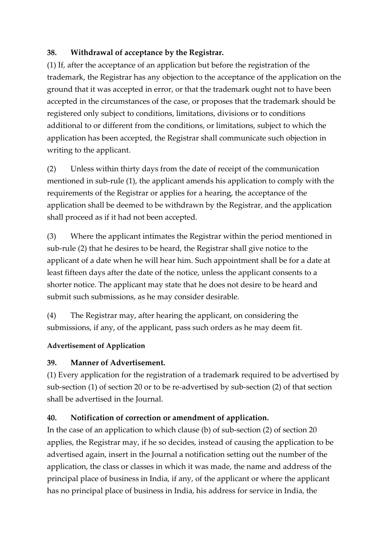#### **38. Withdrawal of acceptance by the Registrar.**

(1) If, after the acceptance of an application but before the registration of the trademark, the Registrar has any objection to the acceptance of the application on the ground that it was accepted in error, or that the trademark ought not to have been accepted in the circumstances of the case, or proposes that the trademark should be registered only subject to conditions, limitations, divisions or to conditions additional to or different from the conditions, or limitations, subject to which the application has been accepted, the Registrar shall communicate such objection in writing to the applicant.

(2) Unless within thirty days from the date of receipt of the communication mentioned in sub-rule (1), the applicant amends his application to comply with the requirements of the Registrar or applies for a hearing, the acceptance of the application shall be deemed to be withdrawn by the Registrar, and the application shall proceed as if it had not been accepted.

(3) Where the applicant intimates the Registrar within the period mentioned in sub-rule (2) that he desires to be heard, the Registrar shall give notice to the applicant of a date when he will hear him. Such appointment shall be for a date at least fifteen days after the date of the notice, unless the applicant consents to a shorter notice. The applicant may state that he does not desire to be heard and submit such submissions, as he may consider desirable.

(4) The Registrar may, after hearing the applicant, on considering the submissions, if any, of the applicant, pass such orders as he may deem fit.

#### **Advertisement of Application**

#### **39. Manner of Advertisement.**

(1) Every application for the registration of a trademark required to be advertised by sub-section (1) of section 20 or to be re-advertised by sub-section (2) of that section shall be advertised in the Journal.

# **40. Notification of correction or amendment of application.**

In the case of an application to which clause (b) of sub-section (2) of section 20 applies, the Registrar may, if he so decides, instead of causing the application to be advertised again, insert in the Journal a notification setting out the number of the application, the class or classes in which it was made, the name and address of the principal place of business in India, if any, of the applicant or where the applicant has no principal place of business in India, his address for service in India, the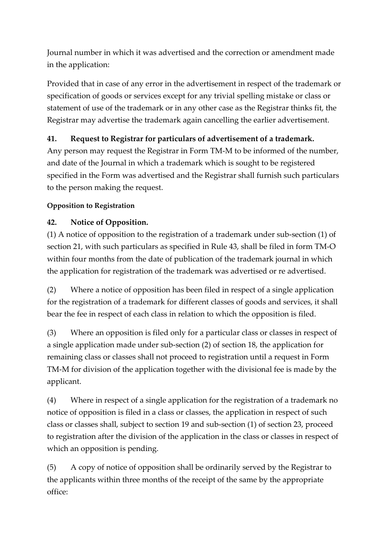Journal number in which it was advertised and the correction or amendment made in the application:

Provided that in case of any error in the advertisement in respect of the trademark or specification of goods or services except for any trivial spelling mistake or class or statement of use of the trademark or in any other case as the Registrar thinks fit, the Registrar may advertise the trademark again cancelling the earlier advertisement.

### **41. Request to Registrar for particulars of advertisement of a trademark.**

Any person may request the Registrar in Form TM-M to be informed of the number, and date of the Journal in which a trademark which is sought to be registered specified in the Form was advertised and the Registrar shall furnish such particulars to the person making the request.

### **Opposition to Registration**

# **42. Notice of Opposition.**

(1) A notice of opposition to the registration of a trademark under sub-section (1) of section 21, with such particulars as specified in Rule 43, shall be filed in form TM-O within four months from the date of publication of the trademark journal in which the application for registration of the trademark was advertised or re advertised.

(2) Where a notice of opposition has been filed in respect of a single application for the registration of a trademark for different classes of goods and services, it shall bear the fee in respect of each class in relation to which the opposition is filed.

(3) Where an opposition is filed only for a particular class or classes in respect of a single application made under sub-section (2) of section 18, the application for remaining class or classes shall not proceed to registration until a request in Form TM-M for division of the application together with the divisional fee is made by the applicant.

(4) Where in respect of a single application for the registration of a trademark no notice of opposition is filed in a class or classes, the application in respect of such class or classes shall, subject to section 19 and sub-section (1) of section 23, proceed to registration after the division of the application in the class or classes in respect of which an opposition is pending.

(5) A copy of notice of opposition shall be ordinarily served by the Registrar to the applicants within three months of the receipt of the same by the appropriate office: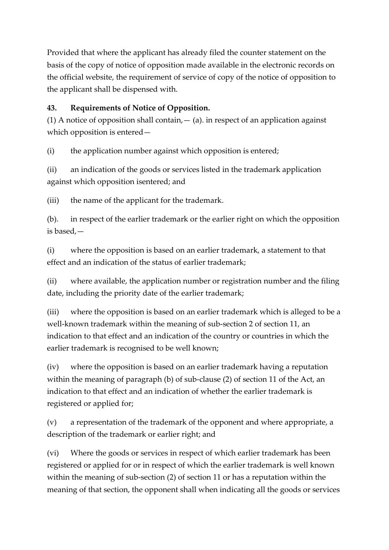Provided that where the applicant has already filed the counter statement on the basis of the copy of notice of opposition made available in the electronic records on the official website, the requirement of service of copy of the notice of opposition to the applicant shall be dispensed with.

### **43. Requirements of Notice of Opposition.**

(1) A notice of opposition shall contain,  $-$  (a). in respect of an application against which opposition is entered—

(i) the application number against which opposition is entered;

(ii) an indication of the goods or services listed in the trademark application against which opposition isentered; and

(iii) the name of the applicant for the trademark.

(b). in respect of the earlier trademark or the earlier right on which the opposition is based,—

(i) where the opposition is based on an earlier trademark, a statement to that effect and an indication of the status of earlier trademark;

(ii) where available, the application number or registration number and the filing date, including the priority date of the earlier trademark;

(iii) where the opposition is based on an earlier trademark which is alleged to be a well-known trademark within the meaning of sub-section 2 of section 11, an indication to that effect and an indication of the country or countries in which the earlier trademark is recognised to be well known;

(iv) where the opposition is based on an earlier trademark having a reputation within the meaning of paragraph (b) of sub-clause (2) of section 11 of the Act, an indication to that effect and an indication of whether the earlier trademark is registered or applied for;

(v) a representation of the trademark of the opponent and where appropriate, a description of the trademark or earlier right; and

(vi) Where the goods or services in respect of which earlier trademark has been registered or applied for or in respect of which the earlier trademark is well known within the meaning of sub-section (2) of section 11 or has a reputation within the meaning of that section, the opponent shall when indicating all the goods or services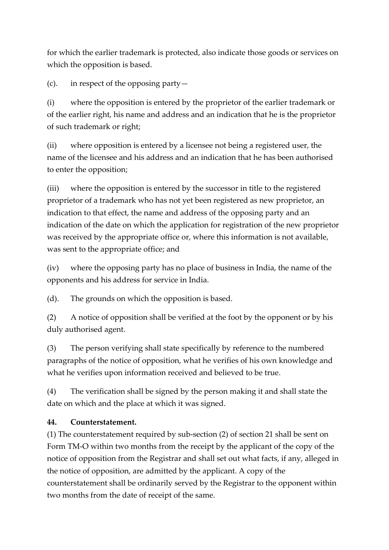for which the earlier trademark is protected, also indicate those goods or services on which the opposition is based.

(c). in respect of the opposing party—

(i) where the opposition is entered by the proprietor of the earlier trademark or of the earlier right, his name and address and an indication that he is the proprietor of such trademark or right;

(ii) where opposition is entered by a licensee not being a registered user, the name of the licensee and his address and an indication that he has been authorised to enter the opposition;

(iii) where the opposition is entered by the successor in title to the registered proprietor of a trademark who has not yet been registered as new proprietor, an indication to that effect, the name and address of the opposing party and an indication of the date on which the application for registration of the new proprietor was received by the appropriate office or, where this information is not available, was sent to the appropriate office; and

(iv) where the opposing party has no place of business in India, the name of the opponents and his address for service in India.

(d). The grounds on which the opposition is based.

(2) A notice of opposition shall be verified at the foot by the opponent or by his duly authorised agent.

(3) The person verifying shall state specifically by reference to the numbered paragraphs of the notice of opposition, what he verifies of his own knowledge and what he verifies upon information received and believed to be true.

(4) The verification shall be signed by the person making it and shall state the date on which and the place at which it was signed.

#### **44. Counterstatement.**

(1) The counterstatement required by sub-section (2) of section 21 shall be sent on Form TM-O within two months from the receipt by the applicant of the copy of the notice of opposition from the Registrar and shall set out what facts, if any, alleged in the notice of opposition, are admitted by the applicant. A copy of the counterstatement shall be ordinarily served by the Registrar to the opponent within two months from the date of receipt of the same.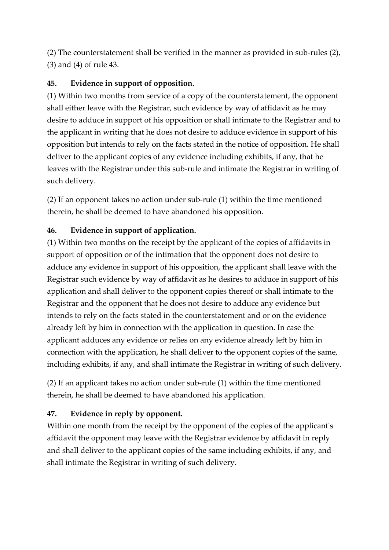(2) The counterstatement shall be verified in the manner as provided in sub-rules (2), (3) and (4) of rule 43.

#### **45. Evidence in support of opposition.**

(1) Within two months from service of a copy of the counterstatement, the opponent shall either leave with the Registrar, such evidence by way of affidavit as he may desire to adduce in support of his opposition or shall intimate to the Registrar and to the applicant in writing that he does not desire to adduce evidence in support of his opposition but intends to rely on the facts stated in the notice of opposition. He shall deliver to the applicant copies of any evidence including exhibits, if any, that he leaves with the Registrar under this sub-rule and intimate the Registrar in writing of such delivery.

(2) If an opponent takes no action under sub-rule (1) within the time mentioned therein, he shall be deemed to have abandoned his opposition.

#### **46. Evidence in support of application.**

(1) Within two months on the receipt by the applicant of the copies of affidavits in support of opposition or of the intimation that the opponent does not desire to adduce any evidence in support of his opposition, the applicant shall leave with the Registrar such evidence by way of affidavit as he desires to adduce in support of his application and shall deliver to the opponent copies thereof or shall intimate to the Registrar and the opponent that he does not desire to adduce any evidence but intends to rely on the facts stated in the counterstatement and or on the evidence already left by him in connection with the application in question. In case the applicant adduces any evidence or relies on any evidence already left by him in connection with the application, he shall deliver to the opponent copies of the same, including exhibits, if any, and shall intimate the Registrar in writing of such delivery.

(2) If an applicant takes no action under sub-rule (1) within the time mentioned therein, he shall be deemed to have abandoned his application.

#### **47. Evidence in reply by opponent.**

Within one month from the receipt by the opponent of the copies of the applicant's affidavit the opponent may leave with the Registrar evidence by affidavit in reply and shall deliver to the applicant copies of the same including exhibits, if any, and shall intimate the Registrar in writing of such delivery.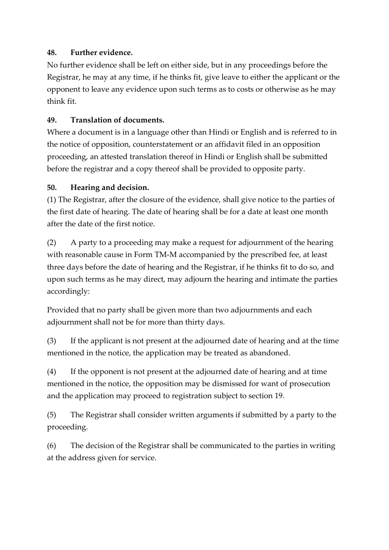#### **48. Further evidence.**

No further evidence shall be left on either side, but in any proceedings before the Registrar, he may at any time, if he thinks fit, give leave to either the applicant or the opponent to leave any evidence upon such terms as to costs or otherwise as he may think fit.

#### **49. Translation of documents.**

Where a document is in a language other than Hindi or English and is referred to in the notice of opposition, counterstatement or an affidavit filed in an opposition proceeding, an attested translation thereof in Hindi or English shall be submitted before the registrar and a copy thereof shall be provided to opposite party.

#### **50. Hearing and decision.**

(1) The Registrar, after the closure of the evidence, shall give notice to the parties of the first date of hearing. The date of hearing shall be for a date at least one month after the date of the first notice.

(2) A party to a proceeding may make a request for adjournment of the hearing with reasonable cause in Form TM-M accompanied by the prescribed fee, at least three days before the date of hearing and the Registrar, if he thinks fit to do so, and upon such terms as he may direct, may adjourn the hearing and intimate the parties accordingly:

Provided that no party shall be given more than two adjournments and each adjournment shall not be for more than thirty days.

(3) If the applicant is not present at the adjourned date of hearing and at the time mentioned in the notice, the application may be treated as abandoned.

(4) If the opponent is not present at the adjourned date of hearing and at time mentioned in the notice, the opposition may be dismissed for want of prosecution and the application may proceed to registration subject to section 19.

(5) The Registrar shall consider written arguments if submitted by a party to the proceeding.

(6) The decision of the Registrar shall be communicated to the parties in writing at the address given for service.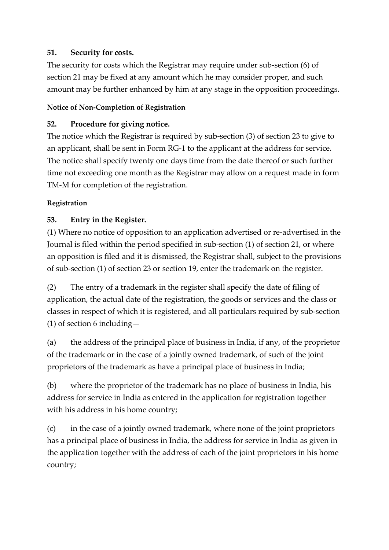#### **51. Security for costs.**

The security for costs which the Registrar may require under sub-section (6) of section 21 may be fixed at any amount which he may consider proper, and such amount may be further enhanced by him at any stage in the opposition proceedings.

#### **Notice of Non-Completion of Registration**

#### **52. Procedure for giving notice.**

The notice which the Registrar is required by sub-section (3) of section 23 to give to an applicant, shall be sent in Form RG-1 to the applicant at the address for service. The notice shall specify twenty one days time from the date thereof or such further time not exceeding one month as the Registrar may allow on a request made in form TM-M for completion of the registration.

#### **Registration**

### **53. Entry in the Register.**

(1) Where no notice of opposition to an application advertised or re-advertised in the Journal is filed within the period specified in sub-section (1) of section 21, or where an opposition is filed and it is dismissed, the Registrar shall, subject to the provisions of sub-section (1) of section 23 or section 19, enter the trademark on the register.

(2) The entry of a trademark in the register shall specify the date of filing of application, the actual date of the registration, the goods or services and the class or classes in respect of which it is registered, and all particulars required by sub-section (1) of section 6 including—

(a) the address of the principal place of business in India, if any, of the proprietor of the trademark or in the case of a jointly owned trademark, of such of the joint proprietors of the trademark as have a principal place of business in India;

(b) where the proprietor of the trademark has no place of business in India, his address for service in India as entered in the application for registration together with his address in his home country;

(c) in the case of a jointly owned trademark, where none of the joint proprietors has a principal place of business in India, the address for service in India as given in the application together with the address of each of the joint proprietors in his home country;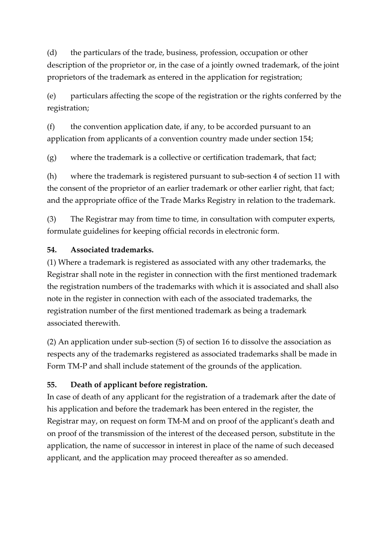(d) the particulars of the trade, business, profession, occupation or other description of the proprietor or, in the case of a jointly owned trademark, of the joint proprietors of the trademark as entered in the application for registration;

(e) particulars affecting the scope of the registration or the rights conferred by the registration;

(f) the convention application date, if any, to be accorded pursuant to an application from applicants of a convention country made under section 154;

(g) where the trademark is a collective or certification trademark, that fact;

(h) where the trademark is registered pursuant to sub-section 4 of section 11 with the consent of the proprietor of an earlier trademark or other earlier right, that fact; and the appropriate office of the Trade Marks Registry in relation to the trademark.

(3) The Registrar may from time to time, in consultation with computer experts, formulate guidelines for keeping official records in electronic form.

#### **54. Associated trademarks.**

(1) Where a trademark is registered as associated with any other trademarks, the Registrar shall note in the register in connection with the first mentioned trademark the registration numbers of the trademarks with which it is associated and shall also note in the register in connection with each of the associated trademarks, the registration number of the first mentioned trademark as being a trademark associated therewith.

(2) An application under sub-section (5) of section 16 to dissolve the association as respects any of the trademarks registered as associated trademarks shall be made in Form TM-P and shall include statement of the grounds of the application.

#### **55. Death of applicant before registration.**

In case of death of any applicant for the registration of a trademark after the date of his application and before the trademark has been entered in the register, the Registrar may, on request on form TM-M and on proof of the applicant's death and on proof of the transmission of the interest of the deceased person, substitute in the application, the name of successor in interest in place of the name of such deceased applicant, and the application may proceed thereafter as so amended.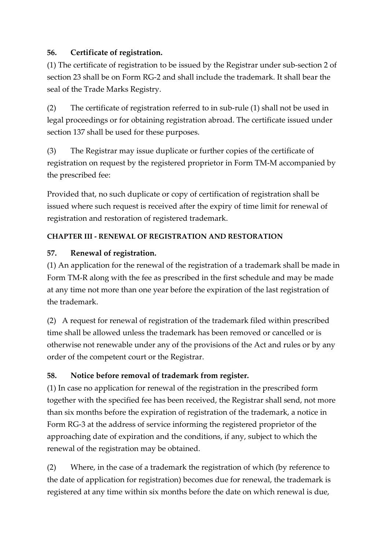### **56. Certificate of registration.**

(1) The certificate of registration to be issued by the Registrar under sub-section 2 of section 23 shall be on Form RG-2 and shall include the trademark. It shall bear the seal of the Trade Marks Registry.

(2) The certificate of registration referred to in sub-rule (1) shall not be used in legal proceedings or for obtaining registration abroad. The certificate issued under section 137 shall be used for these purposes.

(3) The Registrar may issue duplicate or further copies of the certificate of registration on request by the registered proprietor in Form TM-M accompanied by the prescribed fee:

Provided that, no such duplicate or copy of certification of registration shall be issued where such request is received after the expiry of time limit for renewal of registration and restoration of registered trademark.

### **CHAPTER III - RENEWAL OF REGISTRATION AND RESTORATION**

### **57. Renewal of registration.**

(1) An application for the renewal of the registration of a trademark shall be made in Form TM-R along with the fee as prescribed in the first schedule and may be made at any time not more than one year before the expiration of the last registration of the trademark.

(2) A request for renewal of registration of the trademark filed within prescribed time shall be allowed unless the trademark has been removed or cancelled or is otherwise not renewable under any of the provisions of the Act and rules or by any order of the competent court or the Registrar.

# **58. Notice before removal of trademark from register.**

(1) In case no application for renewal of the registration in the prescribed form together with the specified fee has been received, the Registrar shall send, not more than six months before the expiration of registration of the trademark, a notice in Form RG-3 at the address of service informing the registered proprietor of the approaching date of expiration and the conditions, if any, subject to which the renewal of the registration may be obtained.

(2) Where, in the case of a trademark the registration of which (by reference to the date of application for registration) becomes due for renewal, the trademark is registered at any time within six months before the date on which renewal is due,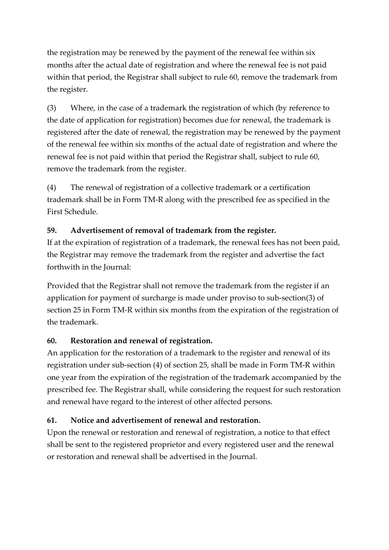the registration may be renewed by the payment of the renewal fee within six months after the actual date of registration and where the renewal fee is not paid within that period, the Registrar shall subject to rule 60, remove the trademark from the register.

(3) Where, in the case of a trademark the registration of which (by reference to the date of application for registration) becomes due for renewal, the trademark is registered after the date of renewal, the registration may be renewed by the payment of the renewal fee within six months of the actual date of registration and where the renewal fee is not paid within that period the Registrar shall, subject to rule 60, remove the trademark from the register.

(4) The renewal of registration of a collective trademark or a certification trademark shall be in Form TM-R along with the prescribed fee as specified in the First Schedule.

#### **59. Advertisement of removal of trademark from the register.**

If at the expiration of registration of a trademark, the renewal fees has not been paid, the Registrar may remove the trademark from the register and advertise the fact forthwith in the Journal:

Provided that the Registrar shall not remove the trademark from the register if an application for payment of surcharge is made under proviso to sub-section(3) of section 25 in Form TM-R within six months from the expiration of the registration of the trademark.

#### **60. Restoration and renewal of registration.**

An application for the restoration of a trademark to the register and renewal of its registration under sub-section (4) of section 25, shall be made in Form TM-R within one year from the expiration of the registration of the trademark accompanied by the prescribed fee. The Registrar shall, while considering the request for such restoration and renewal have regard to the interest of other affected persons.

#### **61. Notice and advertisement of renewal and restoration.**

Upon the renewal or restoration and renewal of registration, a notice to that effect shall be sent to the registered proprietor and every registered user and the renewal or restoration and renewal shall be advertised in the Journal.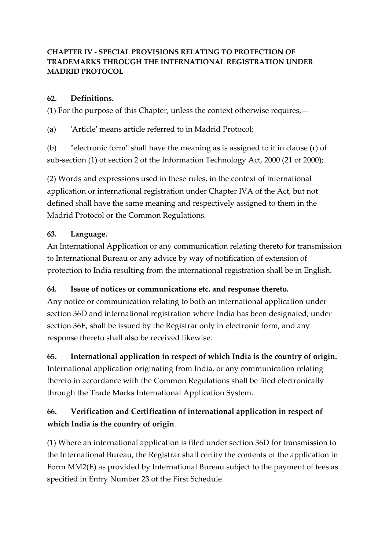#### **CHAPTER IV - SPECIAL PROVISIONS RELATING TO PROTECTION OF TRADEMARKS THROUGH THE INTERNATIONAL REGISTRATION UNDER MADRID PROTOCOL**

### **62. Definitions.**

(1) For the purpose of this Chapter, unless the context otherwise requires,—

(a) 'Article' means article referred to in Madrid Protocol;

(b) "electronic form" shall have the meaning as is assigned to it in clause (r) of sub-section (1) of section 2 of the Information Technology Act, 2000 (21 of 2000);

(2) Words and expressions used in these rules, in the context of international application or international registration under Chapter IVA of the Act, but not defined shall have the same meaning and respectively assigned to them in the Madrid Protocol or the Common Regulations.

### **63. Language.**

An International Application or any communication relating thereto for transmission to International Bureau or any advice by way of notification of extension of protection to India resulting from the international registration shall be in English.

# **64. Issue of notices or communications etc. and response thereto.**

Any notice or communication relating to both an international application under section 36D and international registration where India has been designated, under section 36E, shall be issued by the Registrar only in electronic form, and any response thereto shall also be received likewise.

# **65. International application in respect of which India is the country of origin.**

International application originating from India, or any communication relating thereto in accordance with the Common Regulations shall be filed electronically through the Trade Marks International Application System.

# **66. Verification and Certification of international application in respect of which India is the country of origin**.

(1) Where an international application is filed under section 36D for transmission to the International Bureau, the Registrar shall certify the contents of the application in Form MM2(E) as provided by International Bureau subject to the payment of fees as specified in Entry Number 23 of the First Schedule.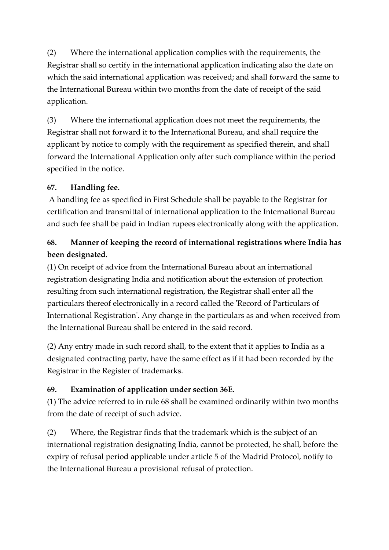(2) Where the international application complies with the requirements, the Registrar shall so certify in the international application indicating also the date on which the said international application was received; and shall forward the same to the International Bureau within two months from the date of receipt of the said application.

(3) Where the international application does not meet the requirements, the Registrar shall not forward it to the International Bureau, and shall require the applicant by notice to comply with the requirement as specified therein, and shall forward the International Application only after such compliance within the period specified in the notice.

### **67. Handling fee.**

A handling fee as specified in First Schedule shall be payable to the Registrar for certification and transmittal of international application to the International Bureau and such fee shall be paid in Indian rupees electronically along with the application.

# **68. Manner of keeping the record of international registrations where India has been designated.**

(1) On receipt of advice from the International Bureau about an international registration designating India and notification about the extension of protection resulting from such international registration, the Registrar shall enter all the particulars thereof electronically in a record called the 'Record of Particulars of International Registration'. Any change in the particulars as and when received from the International Bureau shall be entered in the said record.

(2) Any entry made in such record shall, to the extent that it applies to India as a designated contracting party, have the same effect as if it had been recorded by the Registrar in the Register of trademarks.

# **69. Examination of application under section 36E.**

(1) The advice referred to in rule 68 shall be examined ordinarily within two months from the date of receipt of such advice.

(2) Where, the Registrar finds that the trademark which is the subject of an international registration designating India, cannot be protected, he shall, before the expiry of refusal period applicable under article 5 of the Madrid Protocol, notify to the International Bureau a provisional refusal of protection.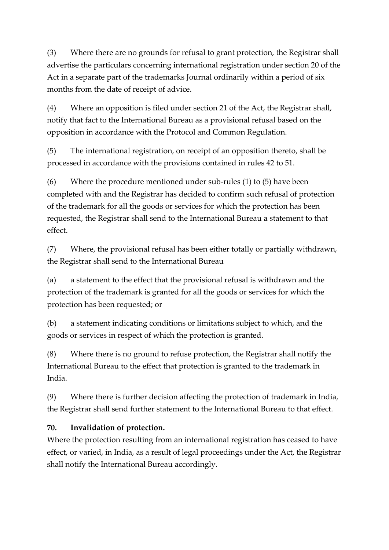(3) Where there are no grounds for refusal to grant protection, the Registrar shall advertise the particulars concerning international registration under section 20 of the Act in a separate part of the trademarks Journal ordinarily within a period of six months from the date of receipt of advice.

(4) Where an opposition is filed under section 21 of the Act, the Registrar shall, notify that fact to the International Bureau as a provisional refusal based on the opposition in accordance with the Protocol and Common Regulation.

(5) The international registration, on receipt of an opposition thereto, shall be processed in accordance with the provisions contained in rules 42 to 51.

(6) Where the procedure mentioned under sub-rules (1) to (5) have been completed with and the Registrar has decided to confirm such refusal of protection of the trademark for all the goods or services for which the protection has been requested, the Registrar shall send to the International Bureau a statement to that effect.

(7) Where, the provisional refusal has been either totally or partially withdrawn, the Registrar shall send to the International Bureau

(a) a statement to the effect that the provisional refusal is withdrawn and the protection of the trademark is granted for all the goods or services for which the protection has been requested; or

(b) a statement indicating conditions or limitations subject to which, and the goods or services in respect of which the protection is granted.

(8) Where there is no ground to refuse protection, the Registrar shall notify the International Bureau to the effect that protection is granted to the trademark in India.

(9) Where there is further decision affecting the protection of trademark in India, the Registrar shall send further statement to the International Bureau to that effect.

#### **70. Invalidation of protection.**

Where the protection resulting from an international registration has ceased to have effect, or varied, in India, as a result of legal proceedings under the Act, the Registrar shall notify the International Bureau accordingly.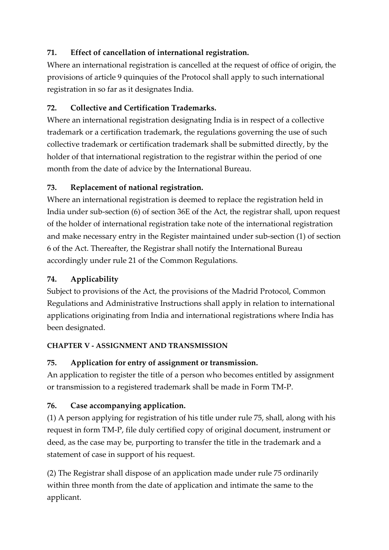# **71. Effect of cancellation of international registration.**

Where an international registration is cancelled at the request of office of origin, the provisions of article 9 quinquies of the Protocol shall apply to such international registration in so far as it designates India.

# **72. Collective and Certification Trademarks.**

Where an international registration designating India is in respect of a collective trademark or a certification trademark, the regulations governing the use of such collective trademark or certification trademark shall be submitted directly, by the holder of that international registration to the registrar within the period of one month from the date of advice by the International Bureau.

# **73. Replacement of national registration.**

Where an international registration is deemed to replace the registration held in India under sub-section (6) of section 36E of the Act, the registrar shall, upon request of the holder of international registration take note of the international registration and make necessary entry in the Register maintained under sub-section (1) of section 6 of the Act. Thereafter, the Registrar shall notify the International Bureau accordingly under rule 21 of the Common Regulations.

# **74. Applicability**

Subject to provisions of the Act, the provisions of the Madrid Protocol, Common Regulations and Administrative Instructions shall apply in relation to international applications originating from India and international registrations where India has been designated.

#### **CHAPTER V - ASSIGNMENT AND TRANSMISSION**

# **75. Application for entry of assignment or transmission.**

An application to register the title of a person who becomes entitled by assignment or transmission to a registered trademark shall be made in Form TM-P.

# **76. Case accompanying application.**

(1) A person applying for registration of his title under rule 75, shall, along with his request in form TM-P, file duly certified copy of original document, instrument or deed, as the case may be, purporting to transfer the title in the trademark and a statement of case in support of his request.

(2) The Registrar shall dispose of an application made under rule 75 ordinarily within three month from the date of application and intimate the same to the applicant.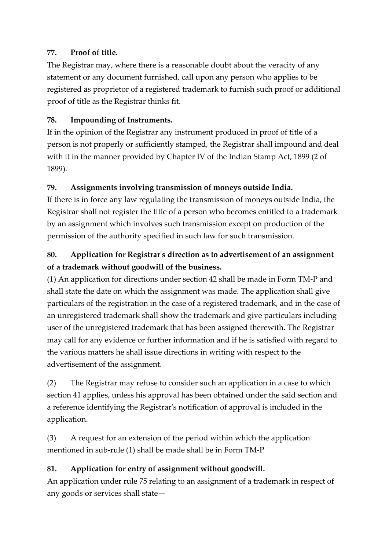### **77. Proof of title.**

The Registrar may, where there is a reasonable doubt about the veracity of any statement or any document furnished, call upon any person who applies to be registered as proprietor of a registered trademark to furnish such proof or additional proof of title as the Registrar thinks fit.

# **78. Impounding of Instruments.**

If in the opinion of the Registrar any instrument produced in proof of title of a person is not properly or sufficiently stamped, the Registrar shall impound and deal with it in the manner provided by Chapter IV of the Indian Stamp Act, 1899 (2 of 1899).

### **79. Assignments involving transmission of moneys outside India.**

If there is in force any law regulating the transmission of moneys outside India, the Registrar shall not register the title of a person who becomes entitled to a trademark by an assignment which involves such transmission except on production of the permission of the authority specified in such law for such transmission.

# **80. Application for Registrar's direction as to advertisement of an assignment of a trademark without goodwill of the business.**

(1) An application for directions under section 42 shall be made in Form TM-P and shall state the date on which the assignment was made. The application shall give particulars of the registration in the case of a registered trademark, and in the case of an unregistered trademark shall show the trademark and give particulars including user of the unregistered trademark that has been assigned therewith. The Registrar may call for any evidence or further information and if he is satisfied with regard to the various matters he shall issue directions in writing with respect to the advertisement of the assignment.

(2) The Registrar may refuse to consider such an application in a case to which section 41 applies, unless his approval has been obtained under the said section and a reference identifying the Registrar's notification of approval is included in the application.

(3) A request for an extension of the period within which the application mentioned in sub-rule (1) shall be made shall be in Form TM-P

# **81. Application for entry of assignment without goodwill.**

An application under rule 75 relating to an assignment of a trademark in respect of any goods or services shall state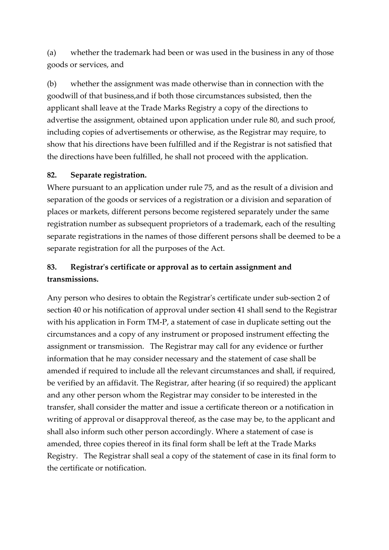(a) whether the trademark had been or was used in the business in any of those goods or services, and

(b) whether the assignment was made otherwise than in connection with the goodwill of that business,and if both those circumstances subsisted, then the applicant shall leave at the Trade Marks Registry a copy of the directions to advertise the assignment, obtained upon application under rule 80, and such proof, including copies of advertisements or otherwise, as the Registrar may require, to show that his directions have been fulfilled and if the Registrar is not satisfied that the directions have been fulfilled, he shall not proceed with the application.

#### **82. Separate registration.**

Where pursuant to an application under rule 75, and as the result of a division and separation of the goods or services of a registration or a division and separation of places or markets, different persons become registered separately under the same registration number as subsequent proprietors of a trademark, each of the resulting separate registrations in the names of those different persons shall be deemed to be a separate registration for all the purposes of the Act.

# **83. Registrar's certificate or approval as to certain assignment and transmissions.**

Any person who desires to obtain the Registrar's certificate under sub-section 2 of section 40 or his notification of approval under section 41 shall send to the Registrar with his application in Form TM-P, a statement of case in duplicate setting out the circumstances and a copy of any instrument or proposed instrument effecting the assignment or transmission. The Registrar may call for any evidence or further information that he may consider necessary and the statement of case shall be amended if required to include all the relevant circumstances and shall, if required, be verified by an affidavit. The Registrar, after hearing (if so required) the applicant and any other person whom the Registrar may consider to be interested in the transfer, shall consider the matter and issue a certificate thereon or a notification in writing of approval or disapproval thereof, as the case may be, to the applicant and shall also inform such other person accordingly. Where a statement of case is amended, three copies thereof in its final form shall be left at the Trade Marks Registry. The Registrar shall seal a copy of the statement of case in its final form to the certificate or notification.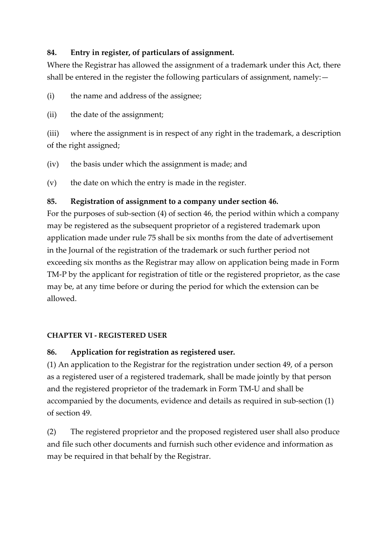#### **84. Entry in register, of particulars of assignment.**

Where the Registrar has allowed the assignment of a trademark under this Act, there shall be entered in the register the following particulars of assignment, namely: -

(i) the name and address of the assignee;

(ii) the date of the assignment;

(iii) where the assignment is in respect of any right in the trademark, a description of the right assigned;

(iv) the basis under which the assignment is made; and

(v) the date on which the entry is made in the register.

#### **85. Registration of assignment to a company under section 46.**

For the purposes of sub-section (4) of section 46, the period within which a company may be registered as the subsequent proprietor of a registered trademark upon application made under rule 75 shall be six months from the date of advertisement in the Journal of the registration of the trademark or such further period not exceeding six months as the Registrar may allow on application being made in Form TM-P by the applicant for registration of title or the registered proprietor, as the case may be, at any time before or during the period for which the extension can be allowed.

#### **CHAPTER VI - REGISTERED USER**

#### **86. Application for registration as registered user.**

(1) An application to the Registrar for the registration under section 49, of a person as a registered user of a registered trademark, shall be made jointly by that person and the registered proprietor of the trademark in Form TM-U and shall be accompanied by the documents, evidence and details as required in sub-section (1) of section 49.

(2) The registered proprietor and the proposed registered user shall also produce and file such other documents and furnish such other evidence and information as may be required in that behalf by the Registrar.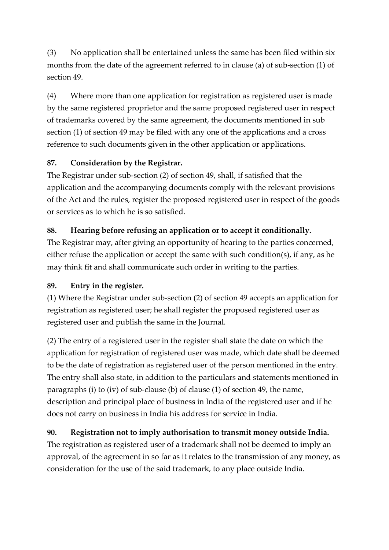(3) No application shall be entertained unless the same has been filed within six months from the date of the agreement referred to in clause (a) of sub-section (1) of section 49.

(4) Where more than one application for registration as registered user is made by the same registered proprietor and the same proposed registered user in respect of trademarks covered by the same agreement, the documents mentioned in sub section (1) of section 49 may be filed with any one of the applications and a cross reference to such documents given in the other application or applications.

# **87. Consideration by the Registrar.**

The Registrar under sub-section (2) of section 49, shall, if satisfied that the application and the accompanying documents comply with the relevant provisions of the Act and the rules, register the proposed registered user in respect of the goods or services as to which he is so satisfied.

### **88. Hearing before refusing an application or to accept it conditionally.**

The Registrar may, after giving an opportunity of hearing to the parties concerned, either refuse the application or accept the same with such condition(s), if any, as he may think fit and shall communicate such order in writing to the parties.

#### **89. Entry in the register.**

(1) Where the Registrar under sub-section (2) of section 49 accepts an application for registration as registered user; he shall register the proposed registered user as registered user and publish the same in the Journal.

(2) The entry of a registered user in the register shall state the date on which the application for registration of registered user was made, which date shall be deemed to be the date of registration as registered user of the person mentioned in the entry. The entry shall also state, in addition to the particulars and statements mentioned in paragraphs (i) to (iv) of sub-clause (b) of clause (1) of section 49, the name, description and principal place of business in India of the registered user and if he does not carry on business in India his address for service in India.

# **90. Registration not to imply authorisation to transmit money outside India.**

The registration as registered user of a trademark shall not be deemed to imply an approval, of the agreement in so far as it relates to the transmission of any money, as consideration for the use of the said trademark, to any place outside India.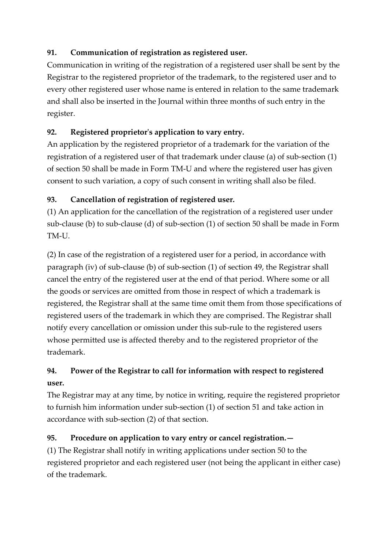### **91. Communication of registration as registered user.**

Communication in writing of the registration of a registered user shall be sent by the Registrar to the registered proprietor of the trademark, to the registered user and to every other registered user whose name is entered in relation to the same trademark and shall also be inserted in the Journal within three months of such entry in the register.

# **92. Registered proprietor's application to vary entry.**

An application by the registered proprietor of a trademark for the variation of the registration of a registered user of that trademark under clause (a) of sub-section (1) of section 50 shall be made in Form TM-U and where the registered user has given consent to such variation, a copy of such consent in writing shall also be filed.

# **93. Cancellation of registration of registered user.**

(1) An application for the cancellation of the registration of a registered user under sub-clause (b) to sub-clause (d) of sub-section (1) of section 50 shall be made in Form TM-U.

(2) In case of the registration of a registered user for a period, in accordance with paragraph (iv) of sub-clause (b) of sub-section (1) of section 49, the Registrar shall cancel the entry of the registered user at the end of that period. Where some or all the goods or services are omitted from those in respect of which a trademark is registered, the Registrar shall at the same time omit them from those specifications of registered users of the trademark in which they are comprised. The Registrar shall notify every cancellation or omission under this sub-rule to the registered users whose permitted use is affected thereby and to the registered proprietor of the trademark.

# **94. Power of the Registrar to call for information with respect to registered user.**

The Registrar may at any time, by notice in writing, require the registered proprietor to furnish him information under sub-section (1) of section 51 and take action in accordance with sub-section (2) of that section.

# **95. Procedure on application to vary entry or cancel registration.—**

(1) The Registrar shall notify in writing applications under section 50 to the registered proprietor and each registered user (not being the applicant in either case) of the trademark.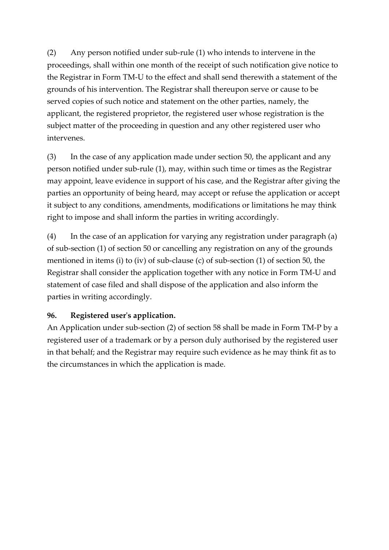(2) Any person notified under sub-rule (1) who intends to intervene in the proceedings, shall within one month of the receipt of such notification give notice to the Registrar in Form TM-U to the effect and shall send therewith a statement of the grounds of his intervention. The Registrar shall thereupon serve or cause to be served copies of such notice and statement on the other parties, namely, the applicant, the registered proprietor, the registered user whose registration is the subject matter of the proceeding in question and any other registered user who intervenes.

(3) In the case of any application made under section 50, the applicant and any person notified under sub-rule (1), may, within such time or times as the Registrar may appoint, leave evidence in support of his case, and the Registrar after giving the parties an opportunity of being heard, may accept or refuse the application or accept it subject to any conditions, amendments, modifications or limitations he may think right to impose and shall inform the parties in writing accordingly.

(4) In the case of an application for varying any registration under paragraph (a) of sub-section (1) of section 50 or cancelling any registration on any of the grounds mentioned in items (i) to (iv) of sub-clause (c) of sub-section (1) of section 50, the Registrar shall consider the application together with any notice in Form TM-U and statement of case filed and shall dispose of the application and also inform the parties in writing accordingly.

#### **96. Registered user's application.**

An Application under sub-section (2) of section 58 shall be made in Form TM-P by a registered user of a trademark or by a person duly authorised by the registered user in that behalf; and the Registrar may require such evidence as he may think fit as to the circumstances in which the application is made.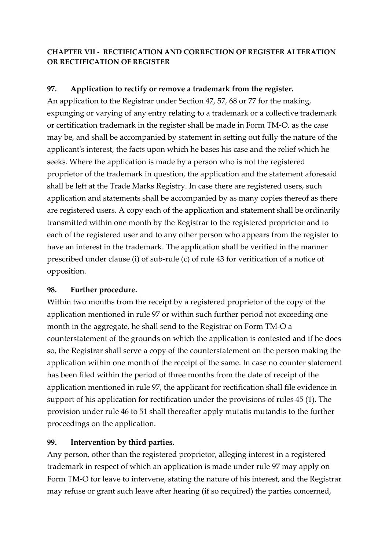#### **CHAPTER VII - RECTIFICATION AND CORRECTION OF REGISTER ALTERATION OR RECTIFICATION OF REGISTER**

#### **97. Application to rectify or remove a trademark from the register.**

An application to the Registrar under Section 47, 57, 68 or 77 for the making, expunging or varying of any entry relating to a trademark or a collective trademark or certification trademark in the register shall be made in Form TM-O, as the case may be, and shall be accompanied by statement in setting out fully the nature of the applicant's interest, the facts upon which he bases his case and the relief which he seeks. Where the application is made by a person who is not the registered proprietor of the trademark in question, the application and the statement aforesaid shall be left at the Trade Marks Registry. In case there are registered users, such application and statements shall be accompanied by as many copies thereof as there are registered users. A copy each of the application and statement shall be ordinarily transmitted within one month by the Registrar to the registered proprietor and to each of the registered user and to any other person who appears from the register to have an interest in the trademark. The application shall be verified in the manner prescribed under clause (i) of sub-rule (c) of rule 43 for verification of a notice of opposition.

#### **98. Further procedure.**

Within two months from the receipt by a registered proprietor of the copy of the application mentioned in rule 97 or within such further period not exceeding one month in the aggregate, he shall send to the Registrar on Form TM-O a counterstatement of the grounds on which the application is contested and if he does so, the Registrar shall serve a copy of the counterstatement on the person making the application within one month of the receipt of the same. In case no counter statement has been filed within the period of three months from the date of receipt of the application mentioned in rule 97, the applicant for rectification shall file evidence in support of his application for rectification under the provisions of rules 45 (1). The provision under rule 46 to 51 shall thereafter apply mutatis mutandis to the further proceedings on the application.

#### **99. Intervention by third parties.**

Any person, other than the registered proprietor, alleging interest in a registered trademark in respect of which an application is made under rule 97 may apply on Form TM-O for leave to intervene, stating the nature of his interest, and the Registrar may refuse or grant such leave after hearing (if so required) the parties concerned,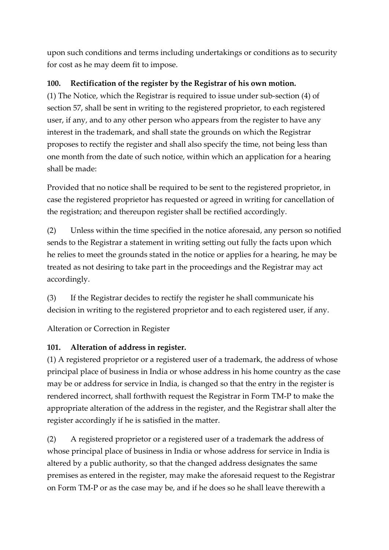upon such conditions and terms including undertakings or conditions as to security for cost as he may deem fit to impose.

### **100. Rectification of the register by the Registrar of his own motion.**

(1) The Notice, which the Registrar is required to issue under sub-section (4) of section 57, shall be sent in writing to the registered proprietor, to each registered user, if any, and to any other person who appears from the register to have any interest in the trademark, and shall state the grounds on which the Registrar proposes to rectify the register and shall also specify the time, not being less than one month from the date of such notice, within which an application for a hearing shall be made:

Provided that no notice shall be required to be sent to the registered proprietor, in case the registered proprietor has requested or agreed in writing for cancellation of the registration; and thereupon register shall be rectified accordingly.

(2) Unless within the time specified in the notice aforesaid, any person so notified sends to the Registrar a statement in writing setting out fully the facts upon which he relies to meet the grounds stated in the notice or applies for a hearing, he may be treated as not desiring to take part in the proceedings and the Registrar may act accordingly.

(3) If the Registrar decides to rectify the register he shall communicate his decision in writing to the registered proprietor and to each registered user, if any.

Alteration or Correction in Register

# **101. Alteration of address in register.**

(1) A registered proprietor or a registered user of a trademark, the address of whose principal place of business in India or whose address in his home country as the case may be or address for service in India, is changed so that the entry in the register is rendered incorrect, shall forthwith request the Registrar in Form TM-P to make the appropriate alteration of the address in the register, and the Registrar shall alter the register accordingly if he is satisfied in the matter.

(2) A registered proprietor or a registered user of a trademark the address of whose principal place of business in India or whose address for service in India is altered by a public authority, so that the changed address designates the same premises as entered in the register, may make the aforesaid request to the Registrar on Form TM-P or as the case may be, and if he does so he shall leave therewith a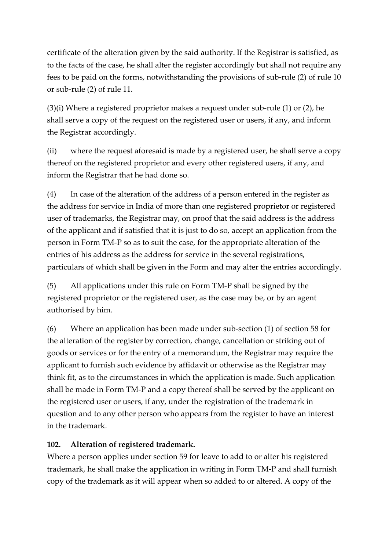certificate of the alteration given by the said authority. If the Registrar is satisfied, as to the facts of the case, he shall alter the register accordingly but shall not require any fees to be paid on the forms, notwithstanding the provisions of sub-rule (2) of rule 10 or sub-rule (2) of rule 11.

(3)(i) Where a registered proprietor makes a request under sub-rule (1) or (2), he shall serve a copy of the request on the registered user or users, if any, and inform the Registrar accordingly.

(ii) where the request aforesaid is made by a registered user, he shall serve a copy thereof on the registered proprietor and every other registered users, if any, and inform the Registrar that he had done so.

(4) In case of the alteration of the address of a person entered in the register as the address for service in India of more than one registered proprietor or registered user of trademarks, the Registrar may, on proof that the said address is the address of the applicant and if satisfied that it is just to do so, accept an application from the person in Form TM-P so as to suit the case, for the appropriate alteration of the entries of his address as the address for service in the several registrations, particulars of which shall be given in the Form and may alter the entries accordingly.

(5) All applications under this rule on Form TM-P shall be signed by the registered proprietor or the registered user, as the case may be, or by an agent authorised by him.

(6) Where an application has been made under sub-section (1) of section 58 for the alteration of the register by correction, change, cancellation or striking out of goods or services or for the entry of a memorandum, the Registrar may require the applicant to furnish such evidence by affidavit or otherwise as the Registrar may think fit, as to the circumstances in which the application is made. Such application shall be made in Form TM-P and a copy thereof shall be served by the applicant on the registered user or users, if any, under the registration of the trademark in question and to any other person who appears from the register to have an interest in the trademark.

#### **102. Alteration of registered trademark.**

Where a person applies under section 59 for leave to add to or alter his registered trademark, he shall make the application in writing in Form TM-P and shall furnish copy of the trademark as it will appear when so added to or altered. A copy of the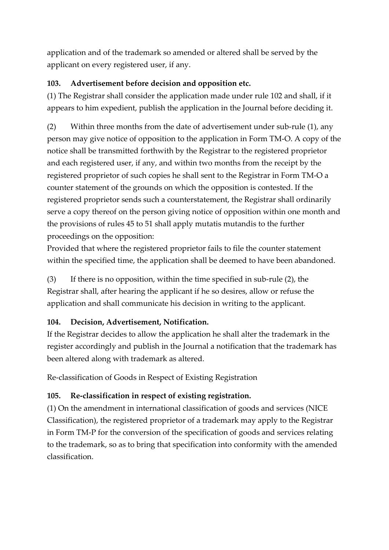application and of the trademark so amended or altered shall be served by the applicant on every registered user, if any.

### **103. Advertisement before decision and opposition etc.**

(1) The Registrar shall consider the application made under rule 102 and shall, if it appears to him expedient, publish the application in the Journal before deciding it.

(2) Within three months from the date of advertisement under sub-rule (1), any person may give notice of opposition to the application in Form TM-O. A copy of the notice shall be transmitted forthwith by the Registrar to the registered proprietor and each registered user, if any, and within two months from the receipt by the registered proprietor of such copies he shall sent to the Registrar in Form TM-O a counter statement of the grounds on which the opposition is contested. If the registered proprietor sends such a counterstatement, the Registrar shall ordinarily serve a copy thereof on the person giving notice of opposition within one month and the provisions of rules 45 to 51 shall apply mutatis mutandis to the further proceedings on the opposition:

Provided that where the registered proprietor fails to file the counter statement within the specified time, the application shall be deemed to have been abandoned.

(3) If there is no opposition, within the time specified in sub-rule (2), the Registrar shall, after hearing the applicant if he so desires, allow or refuse the application and shall communicate his decision in writing to the applicant.

# **104. Decision, Advertisement, Notification.**

If the Registrar decides to allow the application he shall alter the trademark in the register accordingly and publish in the Journal a notification that the trademark has been altered along with trademark as altered.

Re-classification of Goods in Respect of Existing Registration

# **105. Re-classification in respect of existing registration.**

(1) On the amendment in international classification of goods and services (NICE Classification), the registered proprietor of a trademark may apply to the Registrar in Form TM-P for the conversion of the specification of goods and services relating to the trademark, so as to bring that specification into conformity with the amended classification.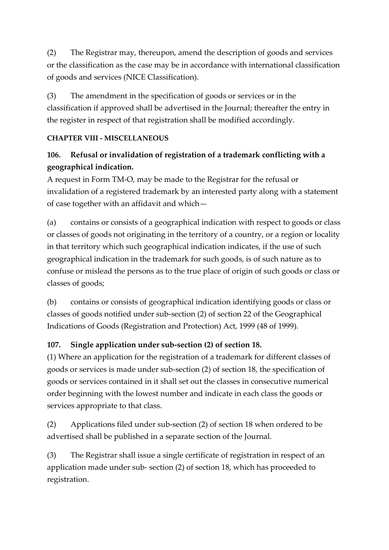(2) The Registrar may, thereupon, amend the description of goods and services or the classification as the case may be in accordance with international classification of goods and services (NICE Classification).

(3) The amendment in the specification of goods or services or in the classification if approved shall be advertised in the Journal; thereafter the entry in the register in respect of that registration shall be modified accordingly.

#### **CHAPTER VIII - MISCELLANEOUS**

# **106. Refusal or invalidation of registration of a trademark conflicting with a geographical indication.**

A request in Form TM-O, may be made to the Registrar for the refusal or invalidation of a registered trademark by an interested party along with a statement of case together with an affidavit and which—

(a) contains or consists of a geographical indication with respect to goods or class or classes of goods not originating in the territory of a country, or a region or locality in that territory which such geographical indication indicates, if the use of such geographical indication in the trademark for such goods, is of such nature as to confuse or mislead the persons as to the true place of origin of such goods or class or classes of goods;

(b) contains or consists of geographical indication identifying goods or class or classes of goods notified under sub-section (2) of section 22 of the Geographical Indications of Goods (Registration and Protection) Act, 1999 (48 of 1999).

#### **107. Single application under sub-section (2) of section 18.**

(1) Where an application for the registration of a trademark for different classes of goods or services is made under sub-section (2) of section 18, the specification of goods or services contained in it shall set out the classes in consecutive numerical order beginning with the lowest number and indicate in each class the goods or services appropriate to that class.

(2) Applications filed under sub-section (2) of section 18 when ordered to be advertised shall be published in a separate section of the Journal.

(3) The Registrar shall issue a single certificate of registration in respect of an application made under sub- section (2) of section 18, which has proceeded to registration.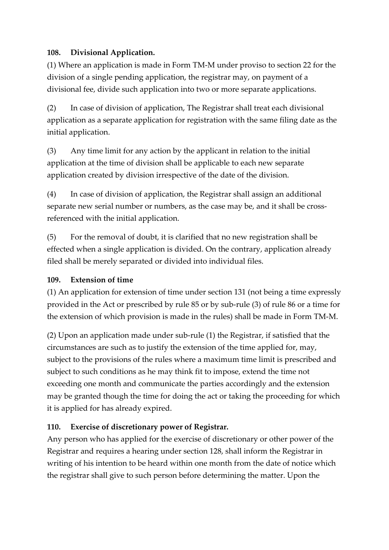### **108. Divisional Application.**

(1) Where an application is made in Form TM-M under proviso to section 22 for the division of a single pending application, the registrar may, on payment of a divisional fee, divide such application into two or more separate applications.

(2) In case of division of application, The Registrar shall treat each divisional application as a separate application for registration with the same filing date as the initial application.

(3) Any time limit for any action by the applicant in relation to the initial application at the time of division shall be applicable to each new separate application created by division irrespective of the date of the division.

(4) In case of division of application, the Registrar shall assign an additional separate new serial number or numbers, as the case may be, and it shall be crossreferenced with the initial application.

(5) For the removal of doubt, it is clarified that no new registration shall be effected when a single application is divided. On the contrary, application already filed shall be merely separated or divided into individual files.

#### **109. Extension of time**

(1) An application for extension of time under section 131 (not being a time expressly provided in the Act or prescribed by rule 85 or by sub-rule (3) of rule 86 or a time for the extension of which provision is made in the rules) shall be made in Form TM-M.

(2) Upon an application made under sub-rule (1) the Registrar, if satisfied that the circumstances are such as to justify the extension of the time applied for, may, subject to the provisions of the rules where a maximum time limit is prescribed and subject to such conditions as he may think fit to impose, extend the time not exceeding one month and communicate the parties accordingly and the extension may be granted though the time for doing the act or taking the proceeding for which it is applied for has already expired.

#### **110. Exercise of discretionary power of Registrar.**

Any person who has applied for the exercise of discretionary or other power of the Registrar and requires a hearing under section 128, shall inform the Registrar in writing of his intention to be heard within one month from the date of notice which the registrar shall give to such person before determining the matter. Upon the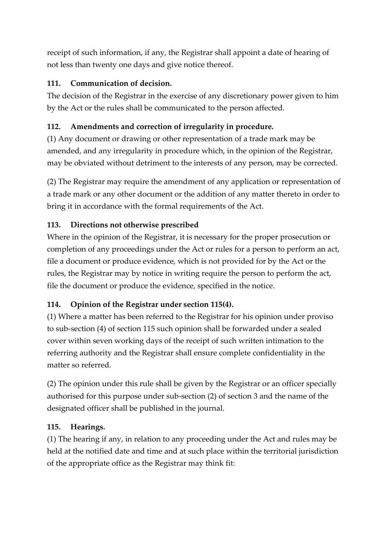receipt of such information, if any, the Registrar shall appoint a date of hearing of not less than twenty one days and give notice thereof.

### **111. Communication of decision.**

The decision of the Registrar in the exercise of any discretionary power given to him by the Act or the rules shall be communicated to the person affected.

### **112. Amendments and correction of irregularity in procedure.**

(1) Any document or drawing or other representation of a trade mark may be amended, and any irregularity in procedure which, in the opinion of the Registrar, may be obviated without detriment to the interests of any person, may be corrected.

(2) The Registrar may require the amendment of any application or representation of a trade mark or any other document or the addition of any matter thereto in order to bring it in accordance with the formal requirements of the Act.

### **113. Directions not otherwise prescribed**

Where in the opinion of the Registrar, it is necessary for the proper prosecution or completion of any proceedings under the Act or rules for a person to perform an act, file a document or produce evidence, which is not provided for by the Act or the rules, the Registrar may by notice in writing require the person to perform the act, file the document or produce the evidence, specified in the notice.

# **114. Opinion of the Registrar under section 115(4).**

(1) Where a matter has been referred to the Registrar for his opinion under proviso to sub-section (4) of section 115 such opinion shall be forwarded under a sealed cover within seven working days of the receipt of such written intimation to the referring authority and the Registrar shall ensure complete confidentiality in the matter so referred.

(2) The opinion under this rule shall be given by the Registrar or an officer specially authorised for this purpose under sub-section (2) of section 3 and the name of the designated officer shall be published in the journal.

#### **115. Hearings.**

(1) The hearing if any, in relation to any proceeding under the Act and rules may be held at the notified date and time and at such place within the territorial jurisdiction of the appropriate office as the Registrar may think fit: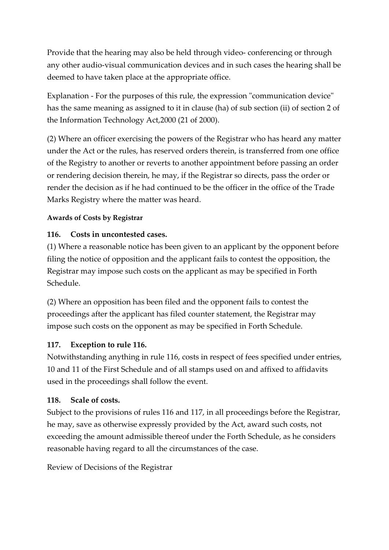Provide that the hearing may also be held through video- conferencing or through any other audio-visual communication devices and in such cases the hearing shall be deemed to have taken place at the appropriate office.

Explanation - For the purposes of this rule, the expression "communication device" has the same meaning as assigned to it in clause (ha) of sub section (ii) of section 2 of the Information Technology Act,2000 (21 of 2000).

(2) Where an officer exercising the powers of the Registrar who has heard any matter under the Act or the rules, has reserved orders therein, is transferred from one office of the Registry to another or reverts to another appointment before passing an order or rendering decision therein, he may, if the Registrar so directs, pass the order or render the decision as if he had continued to be the officer in the office of the Trade Marks Registry where the matter was heard.

#### **Awards of Costs by Registrar**

#### **116. Costs in uncontested cases.**

(1) Where a reasonable notice has been given to an applicant by the opponent before filing the notice of opposition and the applicant fails to contest the opposition, the Registrar may impose such costs on the applicant as may be specified in Forth Schedule.

(2) Where an opposition has been filed and the opponent fails to contest the proceedings after the applicant has filed counter statement, the Registrar may impose such costs on the opponent as may be specified in Forth Schedule.

#### **117. Exception to rule 116.**

Notwithstanding anything in rule 116, costs in respect of fees specified under entries, 10 and 11 of the First Schedule and of all stamps used on and affixed to affidavits used in the proceedings shall follow the event.

#### **118. Scale of costs.**

Subject to the provisions of rules 116 and 117, in all proceedings before the Registrar, he may, save as otherwise expressly provided by the Act, award such costs, not exceeding the amount admissible thereof under the Forth Schedule, as he considers reasonable having regard to all the circumstances of the case.

Review of Decisions of the Registrar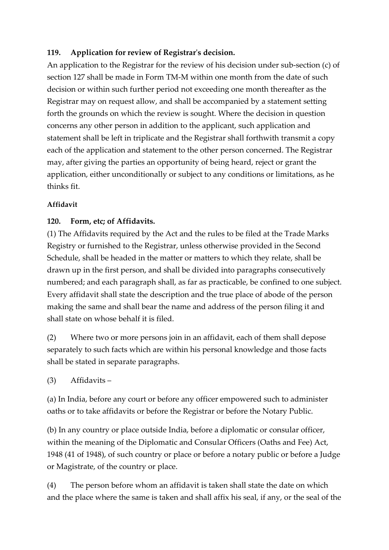#### **119. Application for review of Registrar's decision.**

An application to the Registrar for the review of his decision under sub-section (c) of section 127 shall be made in Form TM-M within one month from the date of such decision or within such further period not exceeding one month thereafter as the Registrar may on request allow, and shall be accompanied by a statement setting forth the grounds on which the review is sought. Where the decision in question concerns any other person in addition to the applicant, such application and statement shall be left in triplicate and the Registrar shall forthwith transmit a copy each of the application and statement to the other person concerned. The Registrar may, after giving the parties an opportunity of being heard, reject or grant the application, either unconditionally or subject to any conditions or limitations, as he thinks fit.

#### **Affidavit**

#### **120. Form, etc; of Affidavits.**

(1) The Affidavits required by the Act and the rules to be filed at the Trade Marks Registry or furnished to the Registrar, unless otherwise provided in the Second Schedule, shall be headed in the matter or matters to which they relate, shall be drawn up in the first person, and shall be divided into paragraphs consecutively numbered; and each paragraph shall, as far as practicable, be confined to one subject. Every affidavit shall state the description and the true place of abode of the person making the same and shall bear the name and address of the person filing it and shall state on whose behalf it is filed.

(2) Where two or more persons join in an affidavit, each of them shall depose separately to such facts which are within his personal knowledge and those facts shall be stated in separate paragraphs.

(3) Affidavits –

(a) In India, before any court or before any officer empowered such to administer oaths or to take affidavits or before the Registrar or before the Notary Public.

(b) In any country or place outside India, before a diplomatic or consular officer, within the meaning of the Diplomatic and Consular Officers (Oaths and Fee) Act, 1948 (41 of 1948), of such country or place or before a notary public or before a Judge or Magistrate, of the country or place.

(4) The person before whom an affidavit is taken shall state the date on which and the place where the same is taken and shall affix his seal, if any, or the seal of the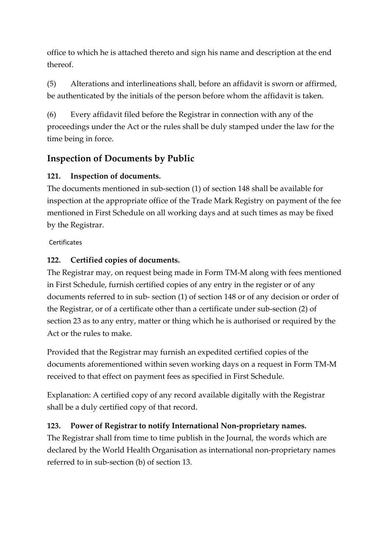office to which he is attached thereto and sign his name and description at the end thereof.

(5) Alterations and interlineations shall, before an affidavit is sworn or affirmed, be authenticated by the initials of the person before whom the affidavit is taken.

(6) Every affidavit filed before the Registrar in connection with any of the proceedings under the Act or the rules shall be duly stamped under the law for the time being in force.

# **Inspection of Documents by Public**

# **121. Inspection of documents.**

The documents mentioned in sub-section (1) of section 148 shall be available for inspection at the appropriate office of the Trade Mark Registry on payment of the fee mentioned in First Schedule on all working days and at such times as may be fixed by the Registrar.

Certificates

# **122. Certified copies of documents.**

The Registrar may, on request being made in Form TM-M along with fees mentioned in First Schedule, furnish certified copies of any entry in the register or of any documents referred to in sub- section (1) of section 148 or of any decision or order of the Registrar, or of a certificate other than a certificate under sub-section (2) of section 23 as to any entry, matter or thing which he is authorised or required by the Act or the rules to make.

Provided that the Registrar may furnish an expedited certified copies of the documents aforementioned within seven working days on a request in Form TM-M received to that effect on payment fees as specified in First Schedule.

Explanation: A certified copy of any record available digitally with the Registrar shall be a duly certified copy of that record.

# **123. Power of Registrar to notify International Non-proprietary names.**

The Registrar shall from time to time publish in the Journal, the words which are declared by the World Health Organisation as international non-proprietary names referred to in sub-section (b) of section 13.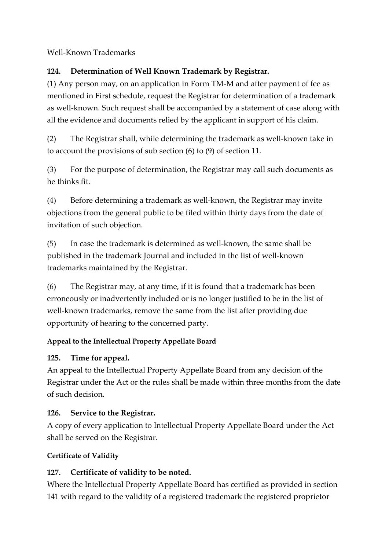Well-Known Trademarks

### **124. Determination of Well Known Trademark by Registrar.**

(1) Any person may, on an application in Form TM-M and after payment of fee as mentioned in First schedule, request the Registrar for determination of a trademark as well-known. Such request shall be accompanied by a statement of case along with all the evidence and documents relied by the applicant in support of his claim.

(2) The Registrar shall, while determining the trademark as well-known take in to account the provisions of sub section (6) to (9) of section 11.

(3) For the purpose of determination, the Registrar may call such documents as he thinks fit.

(4) Before determining a trademark as well-known, the Registrar may invite objections from the general public to be filed within thirty days from the date of invitation of such objection.

(5) In case the trademark is determined as well-known, the same shall be published in the trademark Journal and included in the list of well-known trademarks maintained by the Registrar.

(6) The Registrar may, at any time, if it is found that a trademark has been erroneously or inadvertently included or is no longer justified to be in the list of well-known trademarks, remove the same from the list after providing due opportunity of hearing to the concerned party.

# **Appeal to the Intellectual Property Appellate Board**

# **125. Time for appeal.**

An appeal to the Intellectual Property Appellate Board from any decision of the Registrar under the Act or the rules shall be made within three months from the date of such decision.

# **126. Service to the Registrar.**

A copy of every application to Intellectual Property Appellate Board under the Act shall be served on the Registrar.

# **Certificate of Validity**

# **127. Certificate of validity to be noted.**

Where the Intellectual Property Appellate Board has certified as provided in section 141 with regard to the validity of a registered trademark the registered proprietor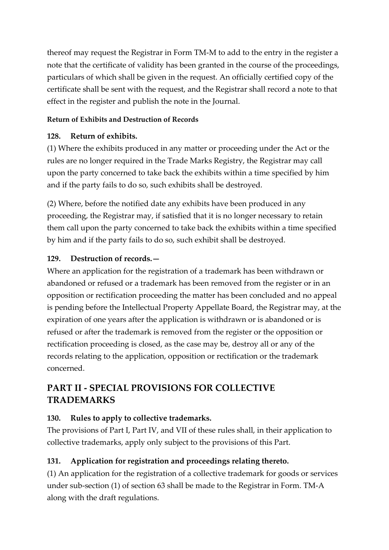thereof may request the Registrar in Form TM-M to add to the entry in the register a note that the certificate of validity has been granted in the course of the proceedings, particulars of which shall be given in the request. An officially certified copy of the certificate shall be sent with the request, and the Registrar shall record a note to that effect in the register and publish the note in the Journal.

#### **Return of Exhibits and Destruction of Records**

#### **128. Return of exhibits.**

(1) Where the exhibits produced in any matter or proceeding under the Act or the rules are no longer required in the Trade Marks Registry, the Registrar may call upon the party concerned to take back the exhibits within a time specified by him and if the party fails to do so, such exhibits shall be destroyed.

(2) Where, before the notified date any exhibits have been produced in any proceeding, the Registrar may, if satisfied that it is no longer necessary to retain them call upon the party concerned to take back the exhibits within a time specified by him and if the party fails to do so, such exhibit shall be destroyed.

#### **129. Destruction of records.—**

Where an application for the registration of a trademark has been withdrawn or abandoned or refused or a trademark has been removed from the register or in an opposition or rectification proceeding the matter has been concluded and no appeal is pending before the Intellectual Property Appellate Board, the Registrar may, at the expiration of one years after the application is withdrawn or is abandoned or is refused or after the trademark is removed from the register or the opposition or rectification proceeding is closed, as the case may be, destroy all or any of the records relating to the application, opposition or rectification or the trademark concerned.

# **PART II - SPECIAL PROVISIONS FOR COLLECTIVE TRADEMARKS**

#### **130. Rules to apply to collective trademarks.**

The provisions of Part I, Part IV, and VII of these rules shall, in their application to collective trademarks, apply only subject to the provisions of this Part.

#### **131. Application for registration and proceedings relating thereto.**

(1) An application for the registration of a collective trademark for goods or services under sub-section (1) of section 63 shall be made to the Registrar in Form. TM-A along with the draft regulations.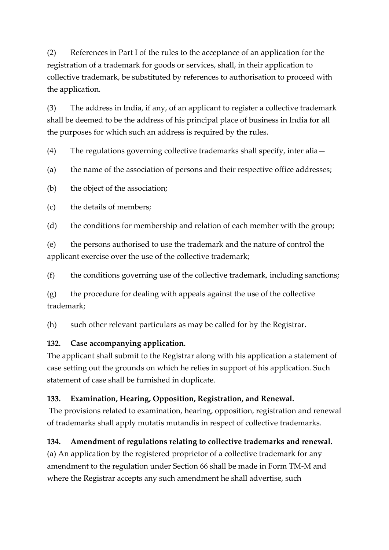(2) References in Part I of the rules to the acceptance of an application for the registration of a trademark for goods or services, shall, in their application to collective trademark, be substituted by references to authorisation to proceed with the application.

(3) The address in India, if any, of an applicant to register a collective trademark shall be deemed to be the address of his principal place of business in India for all the purposes for which such an address is required by the rules.

(4) The regulations governing collective trademarks shall specify, inter alia—

(a) the name of the association of persons and their respective office addresses;

(b) the object of the association;

(c) the details of members;

(d) the conditions for membership and relation of each member with the group;

(e) the persons authorised to use the trademark and the nature of control the applicant exercise over the use of the collective trademark;

(f) the conditions governing use of the collective trademark, including sanctions;

(g) the procedure for dealing with appeals against the use of the collective trademark;

(h) such other relevant particulars as may be called for by the Registrar.

#### **132. Case accompanying application.**

The applicant shall submit to the Registrar along with his application a statement of case setting out the grounds on which he relies in support of his application. Such statement of case shall be furnished in duplicate.

#### **133. Examination, Hearing, Opposition, Registration, and Renewal.**

The provisions related to examination, hearing, opposition, registration and renewal of trademarks shall apply mutatis mutandis in respect of collective trademarks.

#### **134. Amendment of regulations relating to collective trademarks and renewal.**

(a) An application by the registered proprietor of a collective trademark for any amendment to the regulation under Section 66 shall be made in Form TM-M and where the Registrar accepts any such amendment he shall advertise, such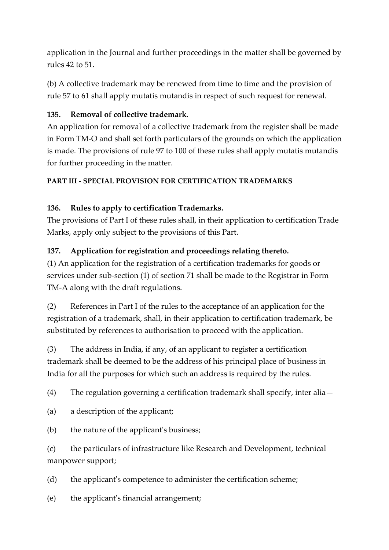application in the Journal and further proceedings in the matter shall be governed by rules 42 to 51.

(b) A collective trademark may be renewed from time to time and the provision of rule 57 to 61 shall apply mutatis mutandis in respect of such request for renewal.

### **135. Removal of collective trademark.**

An application for removal of a collective trademark from the register shall be made in Form TM-O and shall set forth particulars of the grounds on which the application is made. The provisions of rule 97 to 100 of these rules shall apply mutatis mutandis for further proceeding in the matter.

### **PART III - SPECIAL PROVISION FOR CERTIFICATION TRADEMARKS**

# **136. Rules to apply to certification Trademarks.**

The provisions of Part I of these rules shall, in their application to certification Trade Marks, apply only subject to the provisions of this Part.

### **137. Application for registration and proceedings relating thereto.**

(1) An application for the registration of a certification trademarks for goods or services under sub-section (1) of section 71 shall be made to the Registrar in Form TM-A along with the draft regulations.

(2) References in Part I of the rules to the acceptance of an application for the registration of a trademark, shall, in their application to certification trademark, be substituted by references to authorisation to proceed with the application.

(3) The address in India, if any, of an applicant to register a certification trademark shall be deemed to be the address of his principal place of business in India for all the purposes for which such an address is required by the rules.

(4) The regulation governing a certification trademark shall specify, inter alia—

- (a) a description of the applicant;
- (b) the nature of the applicant's business;

(c) the particulars of infrastructure like Research and Development, technical manpower support;

(d) the applicant's competence to administer the certification scheme;

(e) the applicant's financial arrangement;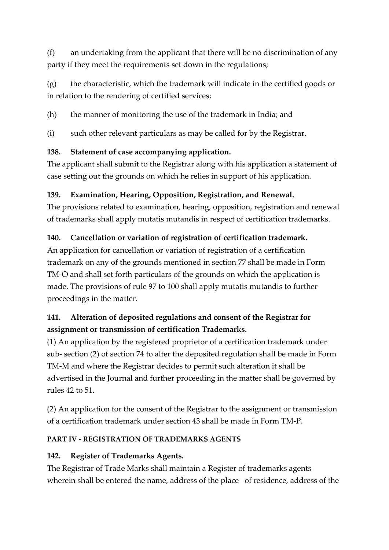(f) an undertaking from the applicant that there will be no discrimination of any party if they meet the requirements set down in the regulations;

(g) the characteristic, which the trademark will indicate in the certified goods or in relation to the rendering of certified services;

(h) the manner of monitoring the use of the trademark in India; and

(i) such other relevant particulars as may be called for by the Registrar.

### **138. Statement of case accompanying application.**

The applicant shall submit to the Registrar along with his application a statement of case setting out the grounds on which he relies in support of his application.

# **139. Examination, Hearing, Opposition, Registration, and Renewal.**

The provisions related to examination, hearing, opposition, registration and renewal of trademarks shall apply mutatis mutandis in respect of certification trademarks.

# **140. Cancellation or variation of registration of certification trademark.**

An application for cancellation or variation of registration of a certification trademark on any of the grounds mentioned in section 77 shall be made in Form TM-O and shall set forth particulars of the grounds on which the application is made. The provisions of rule 97 to 100 shall apply mutatis mutandis to further proceedings in the matter.

# **141. Alteration of deposited regulations and consent of the Registrar for assignment or transmission of certification Trademarks.**

(1) An application by the registered proprietor of a certification trademark under sub- section (2) of section 74 to alter the deposited regulation shall be made in Form TM-M and where the Registrar decides to permit such alteration it shall be advertised in the Journal and further proceeding in the matter shall be governed by rules 42 to 51.

(2) An application for the consent of the Registrar to the assignment or transmission of a certification trademark under section 43 shall be made in Form TM-P.

#### **PART IV - REGISTRATION OF TRADEMARKS AGENTS**

# **142. Register of Trademarks Agents.**

The Registrar of Trade Marks shall maintain a Register of trademarks agents wherein shall be entered the name, address of the place of residence, address of the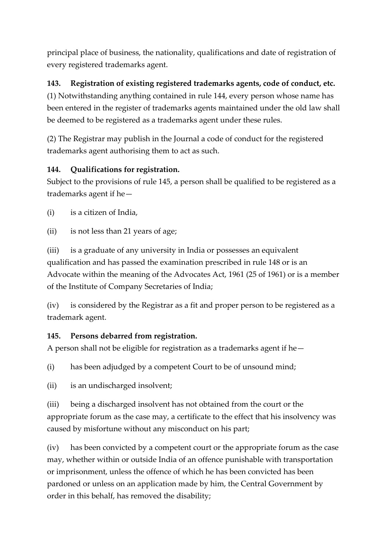principal place of business, the nationality, qualifications and date of registration of every registered trademarks agent.

# **143. Registration of existing registered trademarks agents, code of conduct, etc.**

(1) Notwithstanding anything contained in rule 144, every person whose name has been entered in the register of trademarks agents maintained under the old law shall be deemed to be registered as a trademarks agent under these rules.

(2) The Registrar may publish in the Journal a code of conduct for the registered trademarks agent authorising them to act as such.

# **144. Qualifications for registration.**

Subject to the provisions of rule 145, a person shall be qualified to be registered as a trademarks agent if he—

(i) is a citizen of India,

(ii) is not less than 21 years of age;

(iii) is a graduate of any university in India or possesses an equivalent qualification and has passed the examination prescribed in rule 148 or is an Advocate within the meaning of the Advocates Act, 1961 (25 of 1961) or is a member of the Institute of Company Secretaries of India;

(iv) is considered by the Registrar as a fit and proper person to be registered as a trademark agent.

# **145. Persons debarred from registration.**

A person shall not be eligible for registration as a trademarks agent if he—

(i) has been adjudged by a competent Court to be of unsound mind;

(ii) is an undischarged insolvent;

(iii) being a discharged insolvent has not obtained from the court or the appropriate forum as the case may, a certificate to the effect that his insolvency was caused by misfortune without any misconduct on his part;

(iv) has been convicted by a competent court or the appropriate forum as the case may, whether within or outside India of an offence punishable with transportation or imprisonment, unless the offence of which he has been convicted has been pardoned or unless on an application made by him, the Central Government by order in this behalf, has removed the disability;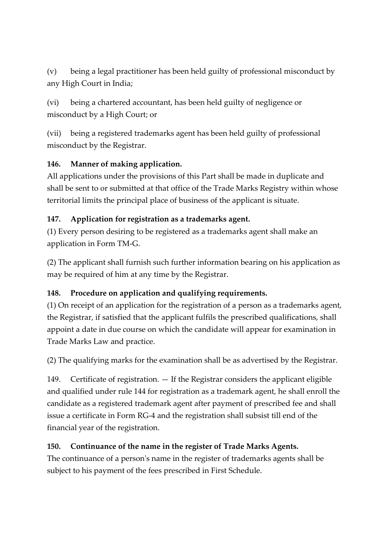(v) being a legal practitioner has been held guilty of professional misconduct by any High Court in India;

(vi) being a chartered accountant, has been held guilty of negligence or misconduct by a High Court; or

(vii) being a registered trademarks agent has been held guilty of professional misconduct by the Registrar.

# **146. Manner of making application.**

All applications under the provisions of this Part shall be made in duplicate and shall be sent to or submitted at that office of the Trade Marks Registry within whose territorial limits the principal place of business of the applicant is situate.

# **147. Application for registration as a trademarks agent.**

(1) Every person desiring to be registered as a trademarks agent shall make an application in Form TM-G.

(2) The applicant shall furnish such further information bearing on his application as may be required of him at any time by the Registrar.

# **148. Procedure on application and qualifying requirements.**

(1) On receipt of an application for the registration of a person as a trademarks agent, the Registrar, if satisfied that the applicant fulfils the prescribed qualifications, shall appoint a date in due course on which the candidate will appear for examination in Trade Marks Law and practice.

(2) The qualifying marks for the examination shall be as advertised by the Registrar.

149. Certificate of registration. — If the Registrar considers the applicant eligible and qualified under rule 144 for registration as a trademark agent, he shall enroll the candidate as a registered trademark agent after payment of prescribed fee and shall issue a certificate in Form RG-4 and the registration shall subsist till end of the financial year of the registration.

# **150. Continuance of the name in the register of Trade Marks Agents.**

The continuance of a person's name in the register of trademarks agents shall be subject to his payment of the fees prescribed in First Schedule.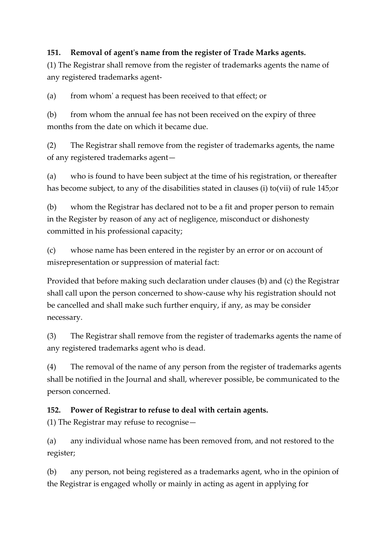#### **151. Removal of agent's name from the register of Trade Marks agents.**

(1) The Registrar shall remove from the register of trademarks agents the name of any registered trademarks agent-

(a) from whom' a request has been received to that effect; or

(b) from whom the annual fee has not been received on the expiry of three months from the date on which it became due.

(2) The Registrar shall remove from the register of trademarks agents, the name of any registered trademarks agent—

(a) who is found to have been subject at the time of his registration, or thereafter has become subject, to any of the disabilities stated in clauses (i) to(vii) of rule 145;or

(b) whom the Registrar has declared not to be a fit and proper person to remain in the Register by reason of any act of negligence, misconduct or dishonesty committed in his professional capacity;

(c) whose name has been entered in the register by an error or on account of misrepresentation or suppression of material fact:

Provided that before making such declaration under clauses (b) and (c) the Registrar shall call upon the person concerned to show-cause why his registration should not be cancelled and shall make such further enquiry, if any, as may be consider necessary.

(3) The Registrar shall remove from the register of trademarks agents the name of any registered trademarks agent who is dead.

(4) The removal of the name of any person from the register of trademarks agents shall be notified in the Journal and shall, wherever possible, be communicated to the person concerned.

#### **152. Power of Registrar to refuse to deal with certain agents.**

(1) The Registrar may refuse to recognise—

(a) any individual whose name has been removed from, and not restored to the register;

(b) any person, not being registered as a trademarks agent, who in the opinion of the Registrar is engaged wholly or mainly in acting as agent in applying for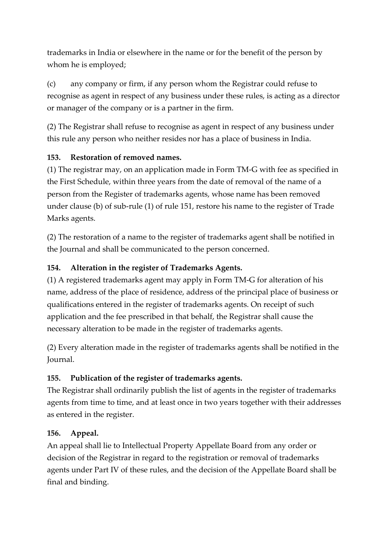trademarks in India or elsewhere in the name or for the benefit of the person by whom he is employed;

(c) any company or firm, if any person whom the Registrar could refuse to recognise as agent in respect of any business under these rules, is acting as a director or manager of the company or is a partner in the firm.

(2) The Registrar shall refuse to recognise as agent in respect of any business under this rule any person who neither resides nor has a place of business in India.

### **153. Restoration of removed names.**

(1) The registrar may, on an application made in Form TM-G with fee as specified in the First Schedule, within three years from the date of removal of the name of a person from the Register of trademarks agents, whose name has been removed under clause (b) of sub-rule (1) of rule 151, restore his name to the register of Trade Marks agents.

(2) The restoration of a name to the register of trademarks agent shall be notified in the Journal and shall be communicated to the person concerned.

# **154. Alteration in the register of Trademarks Agents.**

(1) A registered trademarks agent may apply in Form TM-G for alteration of his name, address of the place of residence, address of the principal place of business or qualifications entered in the register of trademarks agents. On receipt of such application and the fee prescribed in that behalf, the Registrar shall cause the necessary alteration to be made in the register of trademarks agents.

(2) Every alteration made in the register of trademarks agents shall be notified in the Journal.

# **155. Publication of the register of trademarks agents.**

The Registrar shall ordinarily publish the list of agents in the register of trademarks agents from time to time, and at least once in two years together with their addresses as entered in the register.

#### **156. Appeal.**

An appeal shall lie to Intellectual Property Appellate Board from any order or decision of the Registrar in regard to the registration or removal of trademarks agents under Part IV of these rules, and the decision of the Appellate Board shall be final and binding.